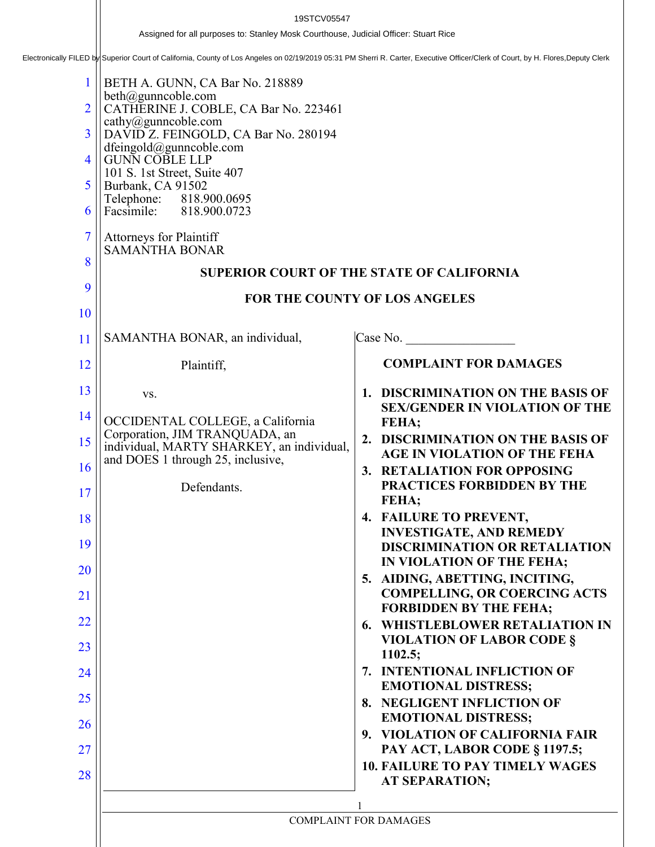Assigned for all purposes to: Stanley Mosk Courthouse, Judicial Officer: Stuart Rice<br>Electronically FILED by Superior Court of California, County of Los Angeles on 02/19/2019 05:31 PM Sherri R. Carter, Executive Officer/Cl

| $\mathbf{1}$<br>$\overline{2}$<br>3<br>4<br>5<br>6<br>$\overline{7}$<br>8<br>9 | BETH A. GUNN, CA Bar No. 218889<br>beth@gunncoble.com<br>CATHERINE J. COBLE, CA Bar No. 223461<br>cathy@gunncoble.com<br>DAVID Z. FEINGOLD, CA Bar No. 280194<br>dfeingold@gunncoble.com<br><b>GUNN COBLE LLP</b><br>101 S. 1st Street, Suite 407<br>Burbank, CA 91502<br>Telephone: 818.900.0695<br>Facsimile: 818.900.0723<br><b>Attorneys for Plaintiff</b><br><b>SAMANTHA BONAR</b> | <b>SUPERIOR COURT OF THE STATE OF CALIFORNIA</b>                                                    |
|--------------------------------------------------------------------------------|-----------------------------------------------------------------------------------------------------------------------------------------------------------------------------------------------------------------------------------------------------------------------------------------------------------------------------------------------------------------------------------------|-----------------------------------------------------------------------------------------------------|
| <b>10</b>                                                                      |                                                                                                                                                                                                                                                                                                                                                                                         | FOR THE COUNTY OF LOS ANGELES                                                                       |
| 11                                                                             | SAMANTHA BONAR, an individual,                                                                                                                                                                                                                                                                                                                                                          | Case No.                                                                                            |
| 12                                                                             | Plaintiff,                                                                                                                                                                                                                                                                                                                                                                              | <b>COMPLAINT FOR DAMAGES</b>                                                                        |
| 13                                                                             | VS.                                                                                                                                                                                                                                                                                                                                                                                     | 1. DISCRIMINATION ON THE BASIS OF                                                                   |
| 14                                                                             | OCCIDENTAL COLLEGE, a California                                                                                                                                                                                                                                                                                                                                                        | <b>SEX/GENDER IN VIOLATION OF THE</b><br>FEHA;                                                      |
| 15                                                                             | Corporation, JIM TRANQUADA, an<br>individual, MARTY SHARKEY, an individual,<br>and DOES 1 through 25, inclusive,                                                                                                                                                                                                                                                                        | 2. DISCRIMINATION ON THE BASIS OF<br><b>AGE IN VIOLATION OF THE FEHA</b>                            |
| 16<br>17                                                                       | Defendants.                                                                                                                                                                                                                                                                                                                                                                             | 3. RETALIATION FOR OPPOSING<br><b>PRACTICES FORBIDDEN BY THE</b><br>FEHA;                           |
| 18                                                                             |                                                                                                                                                                                                                                                                                                                                                                                         | 4. FAILURE TO PREVENT,                                                                              |
| 19                                                                             |                                                                                                                                                                                                                                                                                                                                                                                         | <b>INVESTIGATE, AND REMEDY</b><br><b>DISCRIMINATION OR RETALIATION</b><br>IN VIOLATION OF THE FEHA; |
| 20                                                                             |                                                                                                                                                                                                                                                                                                                                                                                         | 5. AIDING, ABETTING, INCITING,                                                                      |
| 21                                                                             |                                                                                                                                                                                                                                                                                                                                                                                         | <b>COMPELLING, OR COERCING ACTS</b><br><b>FORBIDDEN BY THE FEHA;</b>                                |
| 22                                                                             |                                                                                                                                                                                                                                                                                                                                                                                         | <b>6. WHISTLEBLOWER RETALIATION IN</b><br><b>VIOLATION OF LABOR CODE §</b>                          |
| 23<br>24                                                                       |                                                                                                                                                                                                                                                                                                                                                                                         | 1102.5;<br>7. INTENTIONAL INFLICTION OF                                                             |
| 25                                                                             |                                                                                                                                                                                                                                                                                                                                                                                         | <b>EMOTIONAL DISTRESS;</b>                                                                          |
| 26                                                                             |                                                                                                                                                                                                                                                                                                                                                                                         | 8. NEGLIGENT INFLICTION OF<br><b>EMOTIONAL DISTRESS;</b>                                            |
| 27                                                                             |                                                                                                                                                                                                                                                                                                                                                                                         | 9. VIOLATION OF CALIFORNIA FAIR<br>PAY ACT, LABOR CODE § 1197.5;                                    |
| 28                                                                             |                                                                                                                                                                                                                                                                                                                                                                                         | <b>10. FAILURE TO PAY TIMELY WAGES</b><br><b>AT SEPARATION;</b>                                     |
|                                                                                |                                                                                                                                                                                                                                                                                                                                                                                         |                                                                                                     |
|                                                                                |                                                                                                                                                                                                                                                                                                                                                                                         | <b>COMPLAINT FOR DAMAGES</b>                                                                        |
|                                                                                |                                                                                                                                                                                                                                                                                                                                                                                         |                                                                                                     |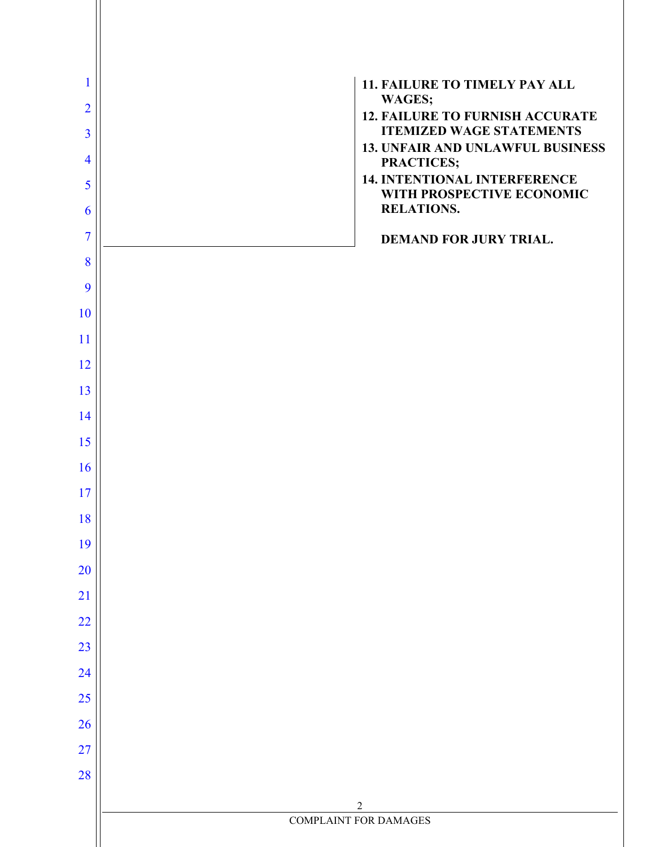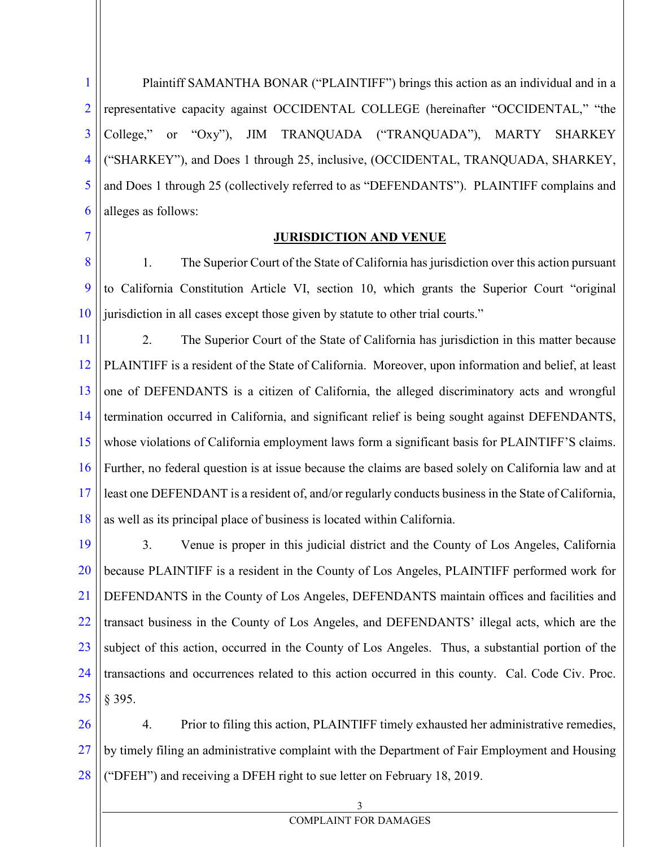1 2 3 4 5 6 Plaintiff SAMANTHA BONAR ("PLAINTIFF") brings this action as an individual and in a representative capacity against OCCIDENTAL COLLEGE (hereinafter "OCCIDENTAL," "the College," or "Oxy"), JIM TRANQUADA ("TRANQUADA"), MARTY SHARKEY ("SHARKEY"), and Does 1 through 25, inclusive, (OCCIDENTAL, TRANQUADA, SHARKEY, and Does 1 through 25 (collectively referred to as "DEFENDANTS"). PLAINTIFF complains and alleges as follows:

7

#### **JURISDICTION AND VENUE**

8 9 10 1. The Superior Court of the State of California has jurisdiction over this action pursuant to California Constitution Article VI, section 10, which grants the Superior Court "original jurisdiction in all cases except those given by statute to other trial courts."

11 12 13 14 15 16 17 18 2. The Superior Court of the State of California has jurisdiction in this matter because PLAINTIFF is a resident of the State of California. Moreover, upon information and belief, at least one of DEFENDANTS is a citizen of California, the alleged discriminatory acts and wrongful termination occurred in California, and significant relief is being sought against DEFENDANTS, whose violations of California employment laws form a significant basis for PLAINTIFF'S claims. Further, no federal question is at issue because the claims are based solely on California law and at least one DEFENDANT is a resident of, and/or regularly conducts business in the State of California, as well as its principal place of business is located within California.

19 20 21 22 23 24 25 3. Venue is proper in this judicial district and the County of Los Angeles, California because PLAINTIFF is a resident in the County of Los Angeles, PLAINTIFF performed work for DEFENDANTS in the County of Los Angeles, DEFENDANTS maintain offices and facilities and transact business in the County of Los Angeles, and DEFENDANTS' illegal acts, which are the subject of this action, occurred in the County of Los Angeles. Thus, a substantial portion of the transactions and occurrences related to this action occurred in this county. Cal. Code Civ. Proc. § 395.

26 27 28 4. Prior to filing this action, PLAINTIFF timely exhausted her administrative remedies, by timely filing an administrative complaint with the Department of Fair Employment and Housing ("DFEH") and receiving a DFEH right to sue letter on February 18, 2019.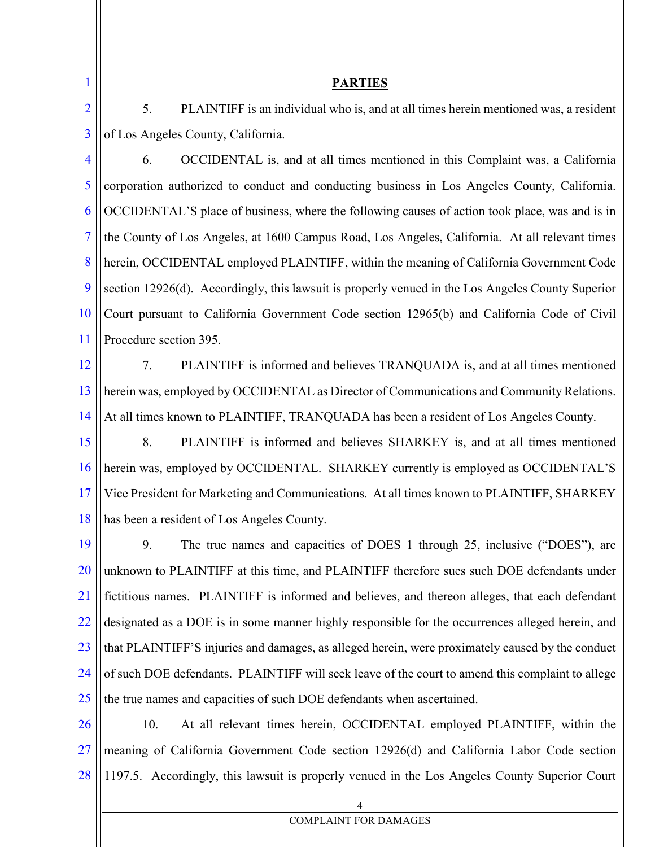1 2

#### **PARTIES**

5. PLAINTIFF is an individual who is, and at all times herein mentioned was, a resident of Los Angeles County, California.

3

4 5 6 7 8 9 10 11 6. OCCIDENTAL is, and at all times mentioned in this Complaint was, a California corporation authorized to conduct and conducting business in Los Angeles County, California. OCCIDENTAL'S place of business, where the following causes of action took place, was and is in the County of Los Angeles, at 1600 Campus Road, Los Angeles, California. At all relevant times herein, OCCIDENTAL employed PLAINTIFF, within the meaning of California Government Code section 12926(d). Accordingly, this lawsuit is properly venued in the Los Angeles County Superior Court pursuant to California Government Code section 12965(b) and California Code of Civil Procedure section 395.

12 13 14 7. PLAINTIFF is informed and believes TRANQUADA is, and at all times mentioned herein was, employed by OCCIDENTAL as Director of Communications and Community Relations. At all times known to PLAINTIFF, TRANQUADA has been a resident of Los Angeles County.

15 16 17 18 8. PLAINTIFF is informed and believes SHARKEY is, and at all times mentioned herein was, employed by OCCIDENTAL. SHARKEY currently is employed as OCCIDENTAL'S Vice President for Marketing and Communications. At all times known to PLAINTIFF, SHARKEY has been a resident of Los Angeles County.

19 20 21 22 23 24 25 9. The true names and capacities of DOES 1 through 25, inclusive ("DOES"), are unknown to PLAINTIFF at this time, and PLAINTIFF therefore sues such DOE defendants under fictitious names. PLAINTIFF is informed and believes, and thereon alleges, that each defendant designated as a DOE is in some manner highly responsible for the occurrences alleged herein, and that PLAINTIFF'S injuries and damages, as alleged herein, were proximately caused by the conduct of such DOE defendants. PLAINTIFF will seek leave of the court to amend this complaint to allege the true names and capacities of such DOE defendants when ascertained.

26 27 28 10. At all relevant times herein, OCCIDENTAL employed PLAINTIFF, within the meaning of California Government Code section 12926(d) and California Labor Code section 1197.5. Accordingly, this lawsuit is properly venued in the Los Angeles County Superior Court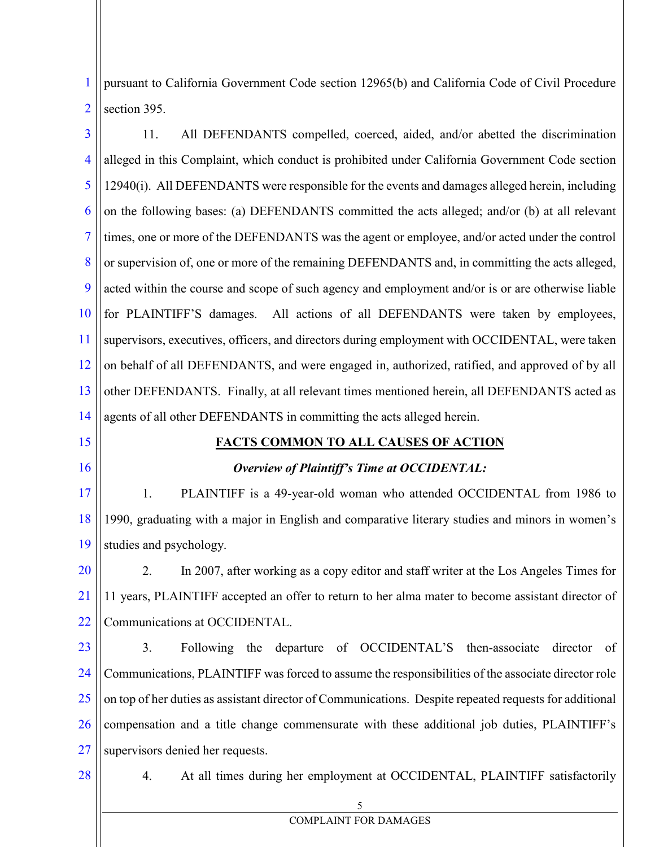1 2 pursuant to California Government Code section 12965(b) and California Code of Civil Procedure section 395.

3 4 5 6 7 8 9 10 11 12 13 14 15 16 17 18 19 20 21 22 23 11. All DEFENDANTS compelled, coerced, aided, and/or abetted the discrimination alleged in this Complaint, which conduct is prohibited under California Government Code section 12940(i). All DEFENDANTS were responsible for the events and damages alleged herein, including on the following bases: (a) DEFENDANTS committed the acts alleged; and/or (b) at all relevant times, one or more of the DEFENDANTS was the agent or employee, and/or acted under the control or supervision of, one or more of the remaining DEFENDANTS and, in committing the acts alleged, acted within the course and scope of such agency and employment and/or is or are otherwise liable for PLAINTIFF'S damages. All actions of all DEFENDANTS were taken by employees, supervisors, executives, officers, and directors during employment with OCCIDENTAL, were taken on behalf of all DEFENDANTS, and were engaged in, authorized, ratified, and approved of by all other DEFENDANTS. Finally, at all relevant times mentioned herein, all DEFENDANTS acted as agents of all other DEFENDANTS in committing the acts alleged herein. **FACTS COMMON TO ALL CAUSES OF ACTION** *Overview of Plaintiff's Time at OCCIDENTAL:* 1. PLAINTIFF is a 49-year-old woman who attended OCCIDENTAL from 1986 to 1990, graduating with a major in English and comparative literary studies and minors in women's studies and psychology. 2. In 2007, after working as a copy editor and staff writer at the Los Angeles Times for 11 years, PLAINTIFF accepted an offer to return to her alma mater to become assistant director of Communications at OCCIDENTAL. 3. Following the departure of OCCIDENTAL'S then-associate director of

24 25 26 27 Communications, PLAINTIFF was forced to assume the responsibilities of the associate director role on top of her duties as assistant director of Communications. Despite repeated requests for additional compensation and a title change commensurate with these additional job duties, PLAINTIFF's supervisors denied her requests.

28

4. At all times during her employment at OCCIDENTAL, PLAINTIFF satisfactorily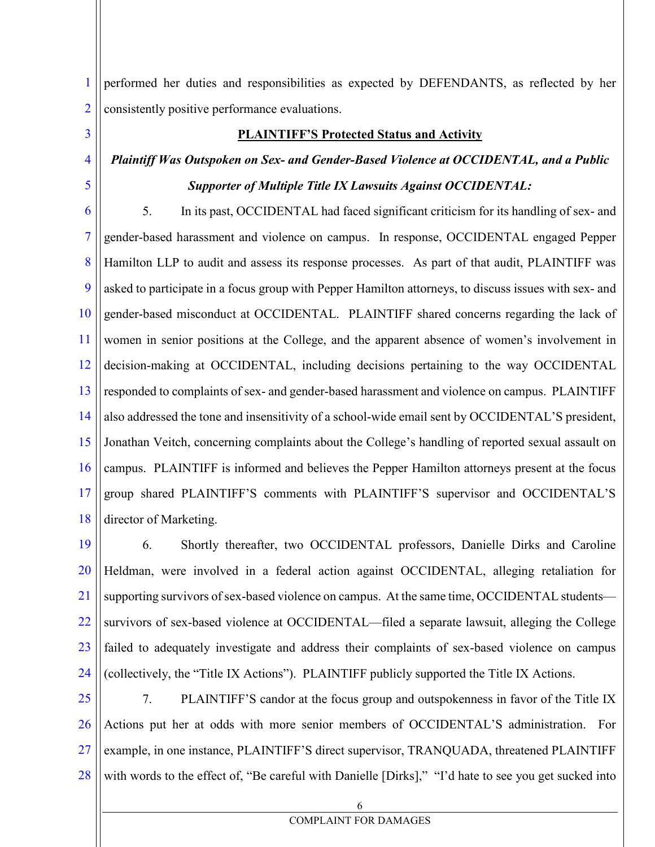1 2 performed her duties and responsibilities as expected by DEFENDANTS, as reflected by her consistently positive performance evaluations.

3

4

5

#### **PLAINTIFF'S Protected Status and Activity**

# *Plaintiff Was Outspoken on Sex- and Gender-Based Violence at OCCIDENTAL, and a Public Supporter of Multiple Title IX Lawsuits Against OCCIDENTAL:*

6 7 8 9 10 11 12 13 14 15 16 17 18 5. In its past, OCCIDENTAL had faced significant criticism for its handling of sex- and gender-based harassment and violence on campus. In response, OCCIDENTAL engaged Pepper Hamilton LLP to audit and assess its response processes. As part of that audit, PLAINTIFF was asked to participate in a focus group with Pepper Hamilton attorneys, to discuss issues with sex- and gender-based misconduct at OCCIDENTAL. PLAINTIFF shared concerns regarding the lack of women in senior positions at the College, and the apparent absence of women's involvement in decision-making at OCCIDENTAL, including decisions pertaining to the way OCCIDENTAL responded to complaints of sex- and gender-based harassment and violence on campus. PLAINTIFF also addressed the tone and insensitivity of a school-wide email sent by OCCIDENTAL'S president, Jonathan Veitch, concerning complaints about the College's handling of reported sexual assault on campus. PLAINTIFF is informed and believes the Pepper Hamilton attorneys present at the focus group shared PLAINTIFF'S comments with PLAINTIFF'S supervisor and OCCIDENTAL'S director of Marketing.

19 20 21 22 23 24 6. Shortly thereafter, two OCCIDENTAL professors, Danielle Dirks and Caroline Heldman, were involved in a federal action against OCCIDENTAL, alleging retaliation for supporting survivors of sex-based violence on campus. At the same time, OCCIDENTAL students survivors of sex-based violence at OCCIDENTAL—filed a separate lawsuit, alleging the College failed to adequately investigate and address their complaints of sex-based violence on campus (collectively, the "Title IX Actions"). PLAINTIFF publicly supported the Title IX Actions.

25 26 27 28 7. PLAINTIFF'S candor at the focus group and outspokenness in favor of the Title IX Actions put her at odds with more senior members of OCCIDENTAL'S administration. For example, in one instance, PLAINTIFF'S direct supervisor, TRANQUADA, threatened PLAINTIFF with words to the effect of, "Be careful with Danielle [Dirks]," "I'd hate to see you get sucked into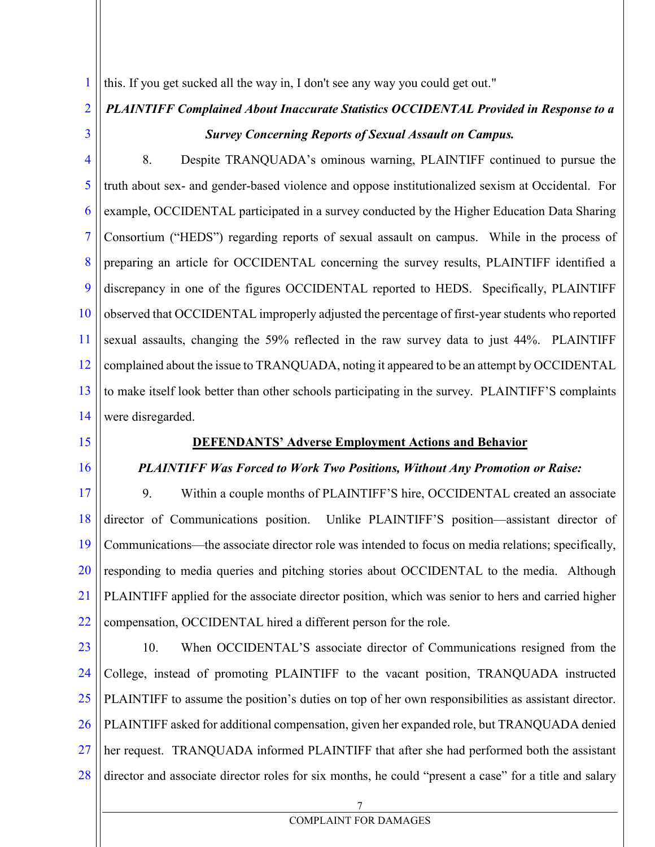this. If you get sucked all the way in, I don't see any way you could get out."

# *PLAINTIFF Complained About Inaccurate Statistics OCCIDENTAL Provided in Response to a Survey Concerning Reports of Sexual Assault on Campus.*

4 5 6 7 8 9 10 11 12 13 14 8. Despite TRANQUADA's ominous warning, PLAINTIFF continued to pursue the truth about sex- and gender-based violence and oppose institutionalized sexism at Occidental. For example, OCCIDENTAL participated in a survey conducted by the Higher Education Data Sharing Consortium ("HEDS") regarding reports of sexual assault on campus. While in the process of preparing an article for OCCIDENTAL concerning the survey results, PLAINTIFF identified a discrepancy in one of the figures OCCIDENTAL reported to HEDS. Specifically, PLAINTIFF observed that OCCIDENTAL improperly adjusted the percentage of first-year students who reported sexual assaults, changing the 59% reflected in the raw survey data to just 44%. PLAINTIFF complained about the issue to TRANQUADA, noting it appeared to be an attempt by OCCIDENTAL to make itself look better than other schools participating in the survey. PLAINTIFF'S complaints were disregarded.

15

1

2

3

16

#### **DEFENDANTS' Adverse Employment Actions and Behavior**

#### *PLAINTIFF Was Forced to Work Two Positions, Without Any Promotion or Raise:*

17 18 19 20 21 22 9. Within a couple months of PLAINTIFF'S hire, OCCIDENTAL created an associate director of Communications position. Unlike PLAINTIFF'S position—assistant director of Communications—the associate director role was intended to focus on media relations; specifically, responding to media queries and pitching stories about OCCIDENTAL to the media. Although PLAINTIFF applied for the associate director position, which was senior to hers and carried higher compensation, OCCIDENTAL hired a different person for the role.

23 24 25 26 27 28 10. When OCCIDENTAL'S associate director of Communications resigned from the College, instead of promoting PLAINTIFF to the vacant position, TRANQUADA instructed PLAINTIFF to assume the position's duties on top of her own responsibilities as assistant director. PLAINTIFF asked for additional compensation, given her expanded role, but TRANQUADA denied her request. TRANQUADA informed PLAINTIFF that after she had performed both the assistant director and associate director roles for six months, he could "present a case" for a title and salary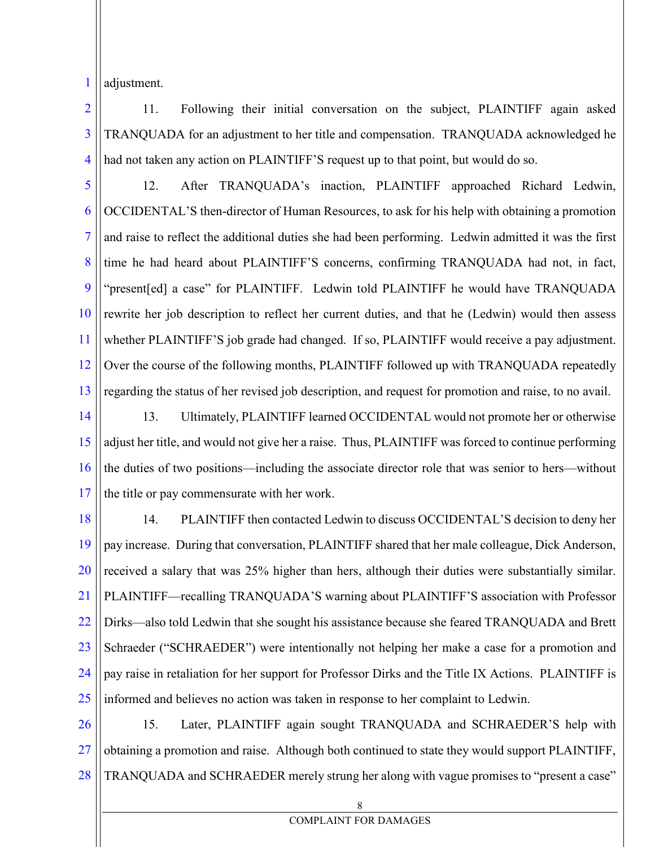1 adjustment.

2 3 4 11. Following their initial conversation on the subject, PLAINTIFF again asked TRANQUADA for an adjustment to her title and compensation. TRANQUADA acknowledged he had not taken any action on PLAINTIFF'S request up to that point, but would do so.

5 6 7 8 9 10 11 12 13 12. After TRANQUADA's inaction, PLAINTIFF approached Richard Ledwin, OCCIDENTAL'S then-director of Human Resources, to ask for his help with obtaining a promotion and raise to reflect the additional duties she had been performing. Ledwin admitted it was the first time he had heard about PLAINTIFF'S concerns, confirming TRANQUADA had not, in fact, "present[ed] a case" for PLAINTIFF. Ledwin told PLAINTIFF he would have TRANQUADA rewrite her job description to reflect her current duties, and that he (Ledwin) would then assess whether PLAINTIFF'S job grade had changed. If so, PLAINTIFF would receive a pay adjustment. Over the course of the following months, PLAINTIFF followed up with TRANQUADA repeatedly regarding the status of her revised job description, and request for promotion and raise, to no avail.

14 15 16 17 13. Ultimately, PLAINTIFF learned OCCIDENTAL would not promote her or otherwise adjust her title, and would not give her a raise. Thus, PLAINTIFF was forced to continue performing the duties of two positions—including the associate director role that was senior to hers—without the title or pay commensurate with her work.

18 19 20 21 22 23 24 25 14. PLAINTIFF then contacted Ledwin to discuss OCCIDENTAL'S decision to deny her pay increase. During that conversation, PLAINTIFF shared that her male colleague, Dick Anderson, received a salary that was 25% higher than hers, although their duties were substantially similar. PLAINTIFF—recalling TRANQUADA'S warning about PLAINTIFF'S association with Professor Dirks—also told Ledwin that she sought his assistance because she feared TRANQUADA and Brett Schraeder ("SCHRAEDER") were intentionally not helping her make a case for a promotion and pay raise in retaliation for her support for Professor Dirks and the Title IX Actions. PLAINTIFF is informed and believes no action was taken in response to her complaint to Ledwin.

26 27 28 15. Later, PLAINTIFF again sought TRANQUADA and SCHRAEDER'S help with obtaining a promotion and raise. Although both continued to state they would support PLAINTIFF, TRANQUADA and SCHRAEDER merely strung her along with vague promises to "present a case"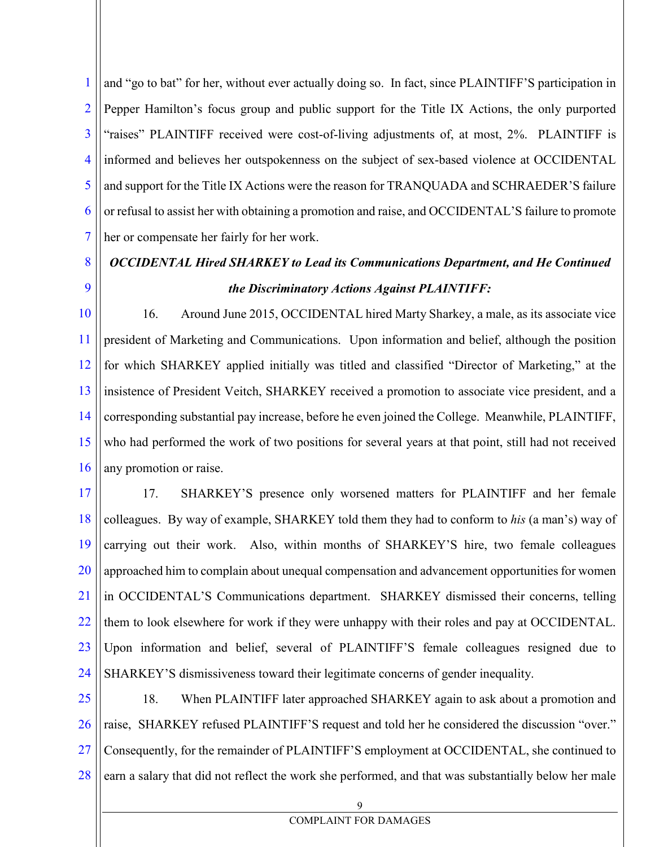1 2 3 4 5 6 7 and "go to bat" for her, without ever actually doing so. In fact, since PLAINTIFF'S participation in Pepper Hamilton's focus group and public support for the Title IX Actions, the only purported "raises" PLAINTIFF received were cost-of-living adjustments of, at most, 2%. PLAINTIFF is informed and believes her outspokenness on the subject of sex-based violence at OCCIDENTAL and support for the Title IX Actions were the reason for TRANQUADA and SCHRAEDER'S failure or refusal to assist her with obtaining a promotion and raise, and OCCIDENTAL'S failure to promote her or compensate her fairly for her work.

9 *OCCIDENTAL Hired SHARKEY to Lead its Communications Department, and He Continued the Discriminatory Actions Against PLAINTIFF:*

8

10 11 12 13 14 15 16 16. Around June 2015, OCCIDENTAL hired Marty Sharkey, a male, as its associate vice president of Marketing and Communications. Upon information and belief, although the position for which SHARKEY applied initially was titled and classified "Director of Marketing," at the insistence of President Veitch, SHARKEY received a promotion to associate vice president, and a corresponding substantial pay increase, before he even joined the College. Meanwhile, PLAINTIFF, who had performed the work of two positions for several years at that point, still had not received any promotion or raise.

17 18 19 20 21 22 23 24 17. SHARKEY'S presence only worsened matters for PLAINTIFF and her female colleagues. By way of example, SHARKEY told them they had to conform to *his* (a man's) way of carrying out their work. Also, within months of SHARKEY'S hire, two female colleagues approached him to complain about unequal compensation and advancement opportunities for women in OCCIDENTAL'S Communications department. SHARKEY dismissed their concerns, telling them to look elsewhere for work if they were unhappy with their roles and pay at OCCIDENTAL. Upon information and belief, several of PLAINTIFF'S female colleagues resigned due to SHARKEY'S dismissiveness toward their legitimate concerns of gender inequality.

25 26 27 28 18. When PLAINTIFF later approached SHARKEY again to ask about a promotion and raise, SHARKEY refused PLAINTIFF'S request and told her he considered the discussion "over." Consequently, for the remainder of PLAINTIFF'S employment at OCCIDENTAL, she continued to earn a salary that did not reflect the work she performed, and that was substantially below her male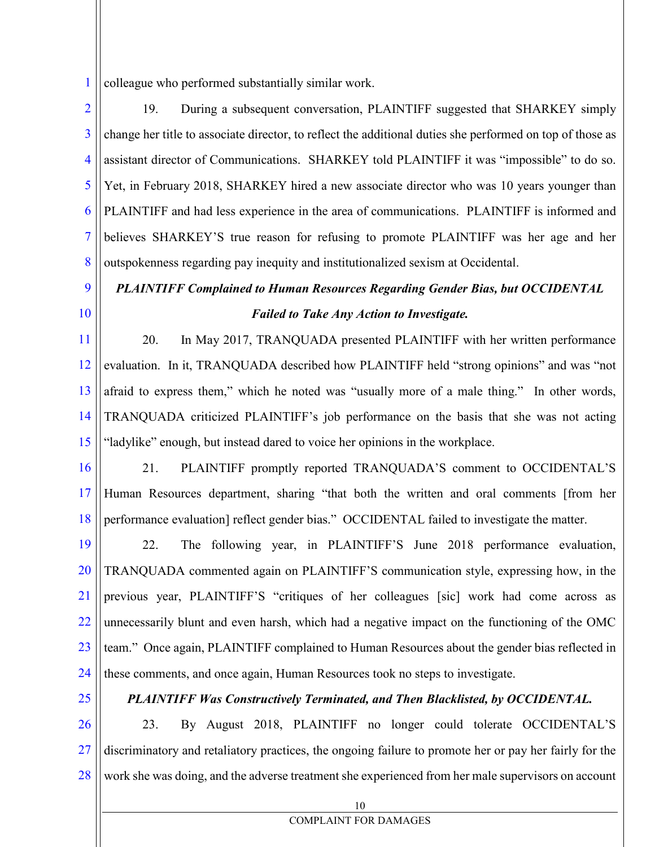1 colleague who performed substantially similar work.

2 3 4 5 6 7 8 19. During a subsequent conversation, PLAINTIFF suggested that SHARKEY simply change her title to associate director, to reflect the additional duties she performed on top of those as assistant director of Communications. SHARKEY told PLAINTIFF it was "impossible" to do so. Yet, in February 2018, SHARKEY hired a new associate director who was 10 years younger than PLAINTIFF and had less experience in the area of communications. PLAINTIFF is informed and believes SHARKEY'S true reason for refusing to promote PLAINTIFF was her age and her outspokenness regarding pay inequity and institutionalized sexism at Occidental.

# *PLAINTIFF Complained to Human Resources Regarding Gender Bias, but OCCIDENTAL Failed to Take Any Action to Investigate.*

11 12 13 14 15 20. In May 2017, TRANQUADA presented PLAINTIFF with her written performance evaluation. In it, TRANQUADA described how PLAINTIFF held "strong opinions" and was "not afraid to express them," which he noted was "usually more of a male thing." In other words, TRANQUADA criticized PLAINTIFF's job performance on the basis that she was not acting "ladylike" enough, but instead dared to voice her opinions in the workplace.

16

9

10

17 18 21. PLAINTIFF promptly reported TRANQUADA'S comment to OCCIDENTAL'S Human Resources department, sharing "that both the written and oral comments [from her performance evaluation] reflect gender bias." OCCIDENTAL failed to investigate the matter.

19 20 21 22 23 24 22. The following year, in PLAINTIFF'S June 2018 performance evaluation, TRANQUADA commented again on PLAINTIFF'S communication style, expressing how, in the previous year, PLAINTIFF'S "critiques of her colleagues [sic] work had come across as unnecessarily blunt and even harsh, which had a negative impact on the functioning of the OMC team." Once again, PLAINTIFF complained to Human Resources about the gender bias reflected in these comments, and once again, Human Resources took no steps to investigate.

25

### *PLAINTIFF Was Constructively Terminated, and Then Blacklisted, by OCCIDENTAL.*

26 27 28 23. By August 2018, PLAINTIFF no longer could tolerate OCCIDENTAL'S discriminatory and retaliatory practices, the ongoing failure to promote her or pay her fairly for the work she was doing, and the adverse treatment she experienced from her male supervisors on account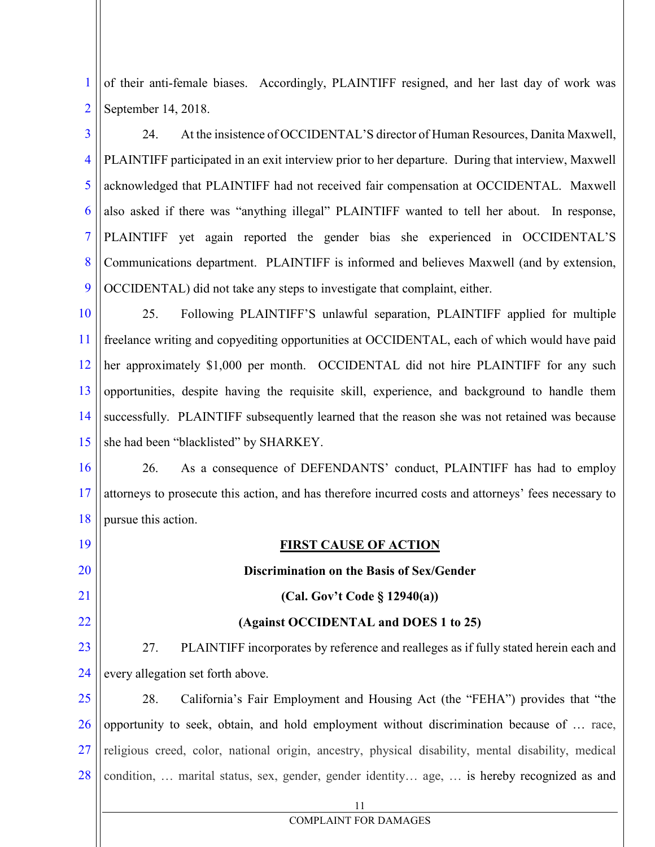1 2 of their anti-female biases. Accordingly, PLAINTIFF resigned, and her last day of work was September 14, 2018.

3 4 5 6 7 8 9 24. At the insistence of OCCIDENTAL'S director of Human Resources, Danita Maxwell, PLAINTIFF participated in an exit interview prior to her departure. During that interview, Maxwell acknowledged that PLAINTIFF had not received fair compensation at OCCIDENTAL. Maxwell also asked if there was "anything illegal" PLAINTIFF wanted to tell her about. In response, PLAINTIFF yet again reported the gender bias she experienced in OCCIDENTAL'S Communications department. PLAINTIFF is informed and believes Maxwell (and by extension, OCCIDENTAL) did not take any steps to investigate that complaint, either.

10 11 12 13 14 15 25. Following PLAINTIFF'S unlawful separation, PLAINTIFF applied for multiple freelance writing and copyediting opportunities at OCCIDENTAL, each of which would have paid her approximately \$1,000 per month. OCCIDENTAL did not hire PLAINTIFF for any such opportunities, despite having the requisite skill, experience, and background to handle them successfully. PLAINTIFF subsequently learned that the reason she was not retained was because she had been "blacklisted" by SHARKEY.

16 17 18 26. As a consequence of DEFENDANTS' conduct, PLAINTIFF has had to employ attorneys to prosecute this action, and has therefore incurred costs and attorneys' fees necessary to pursue this action.

19

20

21

22

## **(Against OCCIDENTAL and DOES 1 to 25)**

**FIRST CAUSE OF ACTION**

**Discrimination on the Basis of Sex/Gender** 

**(Cal. Gov't Code § 12940(a))**

23 24 27. PLAINTIFF incorporates by reference and realleges as if fully stated herein each and every allegation set forth above.

25 26 27 28 28. California's Fair Employment and Housing Act (the "FEHA") provides that "the opportunity to seek, obtain, and hold employment without discrimination because of … race, religious creed, color, national origin, ancestry, physical disability, mental disability, medical condition, … marital status, sex, gender, gender identity… age, … is hereby recognized as and

11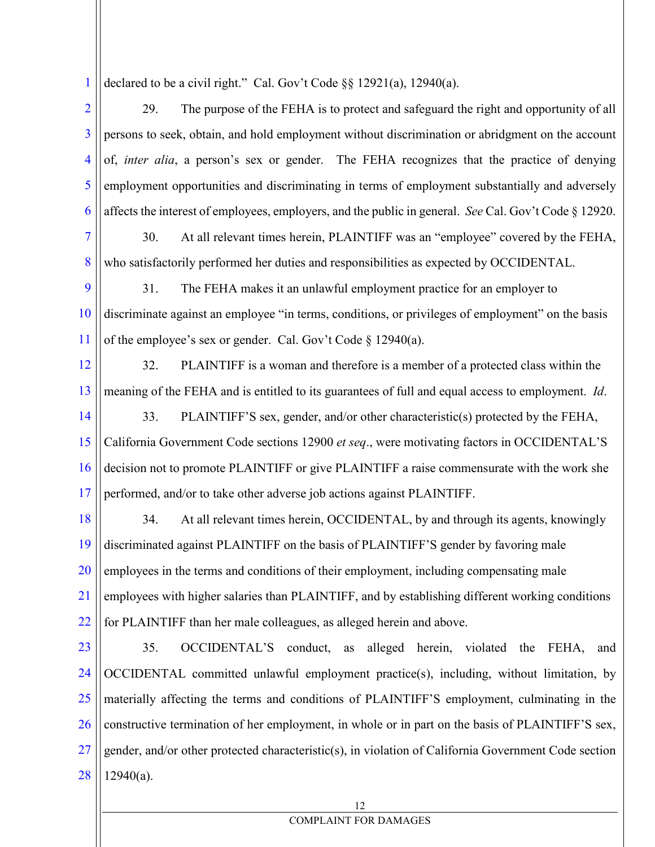1 declared to be a civil right." Cal. Gov't Code §§ 12921(a), 12940(a).

2 3 4 5 6 29. The purpose of the FEHA is to protect and safeguard the right and opportunity of all persons to seek, obtain, and hold employment without discrimination or abridgment on the account of, *inter alia*, a person's sex or gender. The FEHA recognizes that the practice of denying employment opportunities and discriminating in terms of employment substantially and adversely affects the interest of employees, employers, and the public in general. *See* Cal. Gov't Code § 12920.

7

8

30. At all relevant times herein, PLAINTIFF was an "employee" covered by the FEHA, who satisfactorily performed her duties and responsibilities as expected by OCCIDENTAL.

9 10 11 31. The FEHA makes it an unlawful employment practice for an employer to discriminate against an employee "in terms, conditions, or privileges of employment" on the basis of the employee's sex or gender. Cal. Gov't Code § 12940(a).

12 13 32. PLAINTIFF is a woman and therefore is a member of a protected class within the meaning of the FEHA and is entitled to its guarantees of full and equal access to employment. *Id*.

14 15 16 17 33. PLAINTIFF'S sex, gender, and/or other characteristic(s) protected by the FEHA, California Government Code sections 12900 *et seq*., were motivating factors in OCCIDENTAL'S decision not to promote PLAINTIFF or give PLAINTIFF a raise commensurate with the work she performed, and/or to take other adverse job actions against PLAINTIFF.

18 19 20 21 22 34. At all relevant times herein, OCCIDENTAL, by and through its agents, knowingly discriminated against PLAINTIFF on the basis of PLAINTIFF'S gender by favoring male employees in the terms and conditions of their employment, including compensating male employees with higher salaries than PLAINTIFF, and by establishing different working conditions for PLAINTIFF than her male colleagues, as alleged herein and above.

23 24 25 26 27 28 35. OCCIDENTAL'S conduct, as alleged herein, violated the FEHA, and OCCIDENTAL committed unlawful employment practice(s), including, without limitation, by materially affecting the terms and conditions of PLAINTIFF'S employment, culminating in the constructive termination of her employment, in whole or in part on the basis of PLAINTIFF'S sex, gender, and/or other protected characteristic(s), in violation of California Government Code section 12940(a).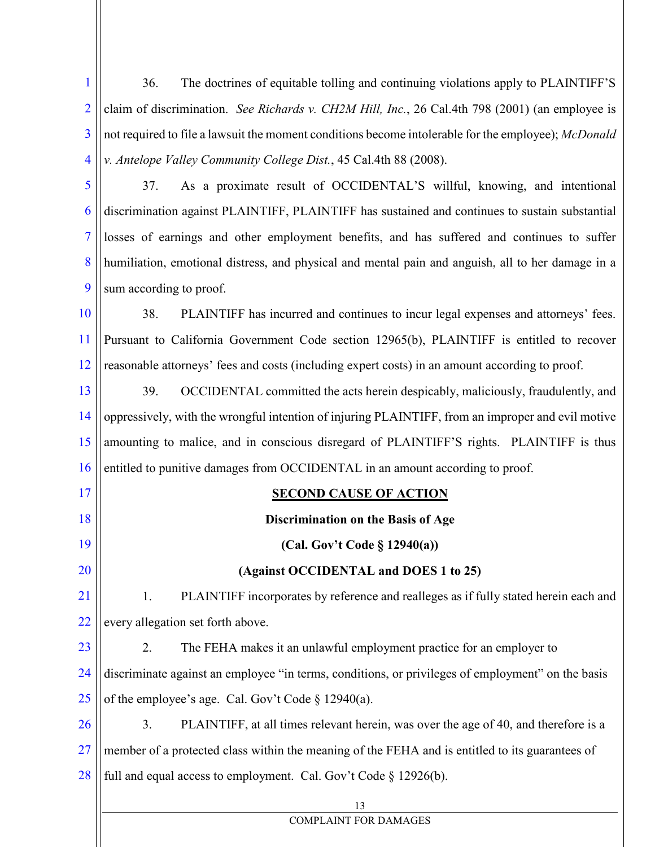1 2 3 4 36. The doctrines of equitable tolling and continuing violations apply to PLAINTIFF'S claim of discrimination. *See Richards v. CH2M Hill, Inc.*, 26 Cal.4th 798 (2001) (an employee is not required to file a lawsuit the moment conditions become intolerable for the employee); *McDonald v. Antelope Valley Community College Dist.*, 45 Cal.4th 88 (2008).

5 6 7 8 9 37. As a proximate result of OCCIDENTAL'S willful, knowing, and intentional discrimination against PLAINTIFF, PLAINTIFF has sustained and continues to sustain substantial losses of earnings and other employment benefits, and has suffered and continues to suffer humiliation, emotional distress, and physical and mental pain and anguish, all to her damage in a sum according to proof.

10 11 12 38. PLAINTIFF has incurred and continues to incur legal expenses and attorneys' fees. Pursuant to California Government Code section 12965(b), PLAINTIFF is entitled to recover reasonable attorneys' fees and costs (including expert costs) in an amount according to proof.

13 14 15 16 | entitled to punitive damages from OCCIDENTAL in an amount according to proof. 39. OCCIDENTAL committed the acts herein despicably, maliciously, fraudulently, and oppressively, with the wrongful intention of injuring PLAINTIFF, from an improper and evil motive amounting to malice, and in conscious disregard of PLAINTIFF'S rights. PLAINTIFF is thus

| 17 | <b>SECOND CAUSE OF ACTION</b>                                                                     |  |
|----|---------------------------------------------------------------------------------------------------|--|
| 18 | Discrimination on the Basis of Age                                                                |  |
| 19 | (Cal. Gov't Code $\S$ 12940(a))                                                                   |  |
| 20 | (Against OCCIDENTAL and DOES 1 to 25)                                                             |  |
| 21 | PLAINTIFF incorporates by reference and realleges as if fully stated herein each and<br>1.        |  |
| 22 | every allegation set forth above.                                                                 |  |
| 23 | 2.<br>The FEHA makes it an unlawful employment practice for an employer to                        |  |
| 24 | discriminate against an employee "in terms, conditions, or privileges of employment" on the basis |  |
| 25 | of the employee's age. Cal. Gov't Code § 12940(a).                                                |  |
| 26 | 3.<br>PLAINTIFF, at all times relevant herein, was over the age of 40, and therefore is a         |  |
| 27 | member of a protected class within the meaning of the FEHA and is entitled to its guarantees of   |  |
| 28 | full and equal access to employment. Cal. Gov't Code § 12926(b).                                  |  |
|    | 13                                                                                                |  |
|    | <b>COMPLAINT FOR DAMAGES</b>                                                                      |  |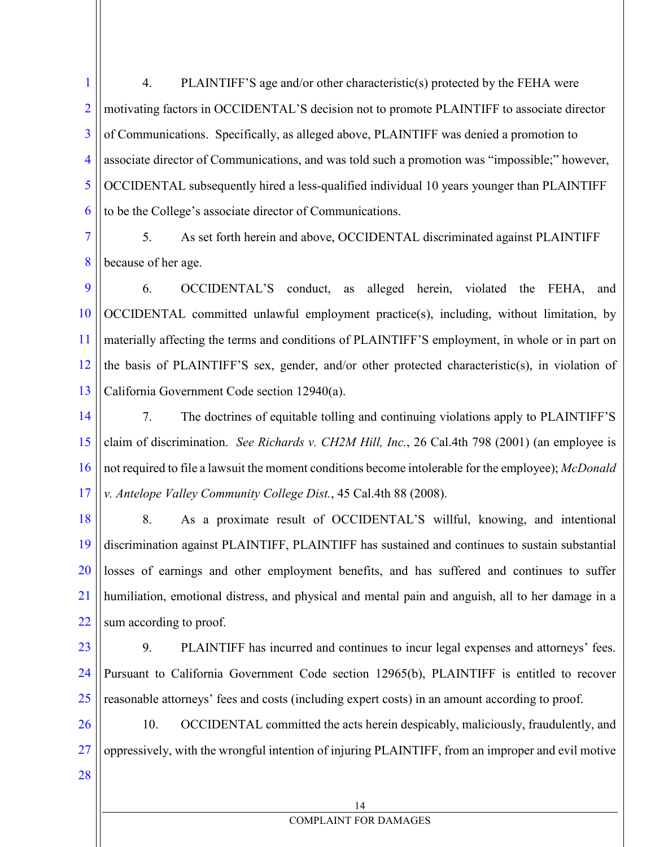1 2 3 4 5 6 4. PLAINTIFF'S age and/or other characteristic(s) protected by the FEHA were motivating factors in OCCIDENTAL'S decision not to promote PLAINTIFF to associate director of Communications. Specifically, as alleged above, PLAINTIFF was denied a promotion to associate director of Communications, and was told such a promotion was "impossible;" however, OCCIDENTAL subsequently hired a less-qualified individual 10 years younger than PLAINTIFF to be the College's associate director of Communications.

7 8 5. As set forth herein and above, OCCIDENTAL discriminated against PLAINTIFF because of her age.

9 10 11 12 13 6. OCCIDENTAL'S conduct, as alleged herein, violated the FEHA, and OCCIDENTAL committed unlawful employment practice(s), including, without limitation, by materially affecting the terms and conditions of PLAINTIFF'S employment, in whole or in part on the basis of PLAINTIFF'S sex, gender, and/or other protected characteristic(s), in violation of California Government Code section 12940(a).

14 15 16 17 7. The doctrines of equitable tolling and continuing violations apply to PLAINTIFF'S claim of discrimination. *See Richards v. CH2M Hill, Inc.*, 26 Cal.4th 798 (2001) (an employee is not required to file a lawsuit the moment conditions become intolerable for the employee); *McDonald v. Antelope Valley Community College Dist.*, 45 Cal.4th 88 (2008).

18 19 20 21 22 8. As a proximate result of OCCIDENTAL'S willful, knowing, and intentional discrimination against PLAINTIFF, PLAINTIFF has sustained and continues to sustain substantial losses of earnings and other employment benefits, and has suffered and continues to suffer humiliation, emotional distress, and physical and mental pain and anguish, all to her damage in a sum according to proof.

23 24 25 9. PLAINTIFF has incurred and continues to incur legal expenses and attorneys' fees. Pursuant to California Government Code section 12965(b), PLAINTIFF is entitled to recover reasonable attorneys' fees and costs (including expert costs) in an amount according to proof.

26 27 10. OCCIDENTAL committed the acts herein despicably, maliciously, fraudulently, and oppressively, with the wrongful intention of injuring PLAINTIFF, from an improper and evil motive

28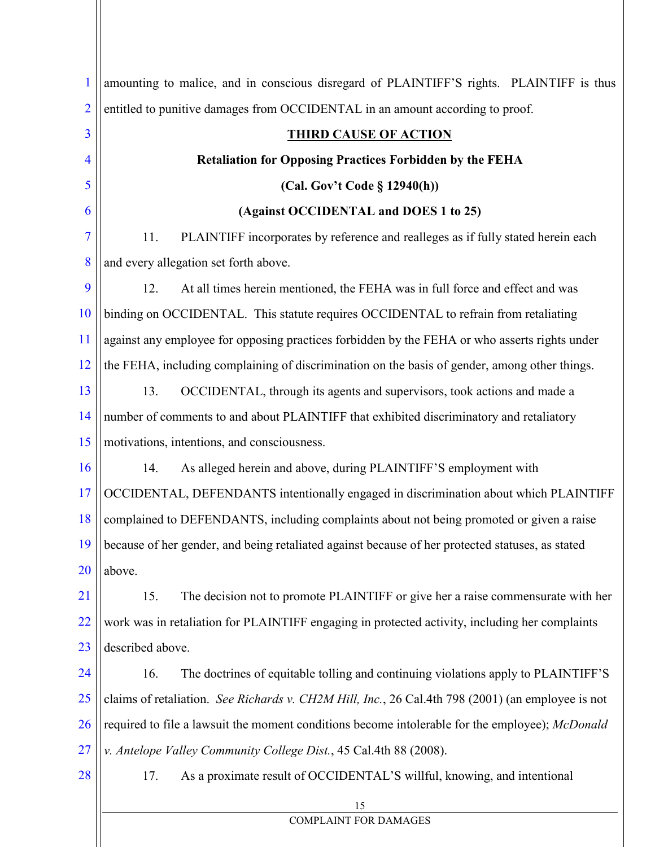| 1              | amounting to malice, and in conscious disregard of PLAINTIFF'S rights. PLAINTIFF is thus          |
|----------------|---------------------------------------------------------------------------------------------------|
| $\overline{2}$ | entitled to punitive damages from OCCIDENTAL in an amount according to proof.                     |
| $\overline{3}$ | <b>THIRD CAUSE OF ACTION</b>                                                                      |
| 4              | <b>Retaliation for Opposing Practices Forbidden by the FEHA</b>                                   |
| 5              | (Cal. Gov't Code § 12940(h))                                                                      |
| 6              | (Against OCCIDENTAL and DOES 1 to 25)                                                             |
| 7              | 11.<br>PLAINTIFF incorporates by reference and realleges as if fully stated herein each           |
| 8              | and every allegation set forth above.                                                             |
| 9              | 12.<br>At all times herein mentioned, the FEHA was in full force and effect and was               |
| 10             | binding on OCCIDENTAL. This statute requires OCCIDENTAL to refrain from retaliating               |
| 11             | against any employee for opposing practices forbidden by the FEHA or who asserts rights under     |
| 12             | the FEHA, including complaining of discrimination on the basis of gender, among other things.     |
| 13             | 13.<br>OCCIDENTAL, through its agents and supervisors, took actions and made a                    |
| 14             | number of comments to and about PLAINTIFF that exhibited discriminatory and retaliatory           |
| 15             | motivations, intentions, and consciousness.                                                       |
| 16             | 14.<br>As alleged herein and above, during PLAINTIFF'S employment with                            |
| 17             | OCCIDENTAL, DEFENDANTS intentionally engaged in discrimination about which PLAINTIFF              |
| 18             | complained to DEFENDANTS, including complaints about not being promoted or given a raise          |
| 19             | because of her gender, and being retaliated against because of her protected statuses, as stated  |
| 20             | above.                                                                                            |
| 21             | 15.<br>The decision not to promote PLAINTIFF or give her a raise commensurate with her            |
| 22             | work was in retaliation for PLAINTIFF engaging in protected activity, including her complaints    |
| 23             | described above.                                                                                  |
| 24             | 16.<br>The doctrines of equitable tolling and continuing violations apply to PLAINTIFF'S          |
| 25             | claims of retaliation. See Richards v. CH2M Hill, Inc., 26 Cal.4th 798 (2001) (an employee is not |
| 26             | required to file a lawsuit the moment conditions become intolerable for the employee); McDonald   |
| 27             | v. Antelope Valley Community College Dist., 45 Cal.4th 88 (2008).                                 |
| 28             | As a proximate result of OCCIDENTAL'S willful, knowing, and intentional<br>17.                    |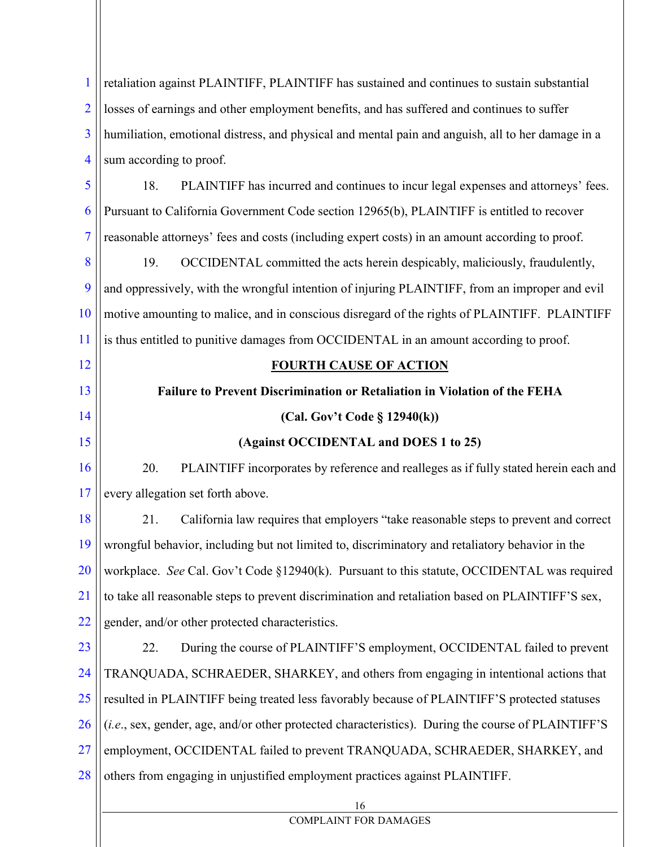1 2 3 4 5 6 7 8 9 10 11 12 13 14 15 16 17 18 19 20 21 22 23 24 25 26 27 28 16 COMPLAINT FOR DAMAGES retaliation against PLAINTIFF, PLAINTIFF has sustained and continues to sustain substantial losses of earnings and other employment benefits, and has suffered and continues to suffer humiliation, emotional distress, and physical and mental pain and anguish, all to her damage in a sum according to proof. 18. PLAINTIFF has incurred and continues to incur legal expenses and attorneys' fees. Pursuant to California Government Code section 12965(b), PLAINTIFF is entitled to recover reasonable attorneys' fees and costs (including expert costs) in an amount according to proof. 19. OCCIDENTAL committed the acts herein despicably, maliciously, fraudulently, and oppressively, with the wrongful intention of injuring PLAINTIFF, from an improper and evil motive amounting to malice, and in conscious disregard of the rights of PLAINTIFF. PLAINTIFF is thus entitled to punitive damages from OCCIDENTAL in an amount according to proof. **FOURTH CAUSE OF ACTION Failure to Prevent Discrimination or Retaliation in Violation of the FEHA (Cal. Gov't Code § 12940(k)) (Against OCCIDENTAL and DOES 1 to 25)** 20. PLAINTIFF incorporates by reference and realleges as if fully stated herein each and every allegation set forth above. 21. California law requires that employers "take reasonable steps to prevent and correct wrongful behavior, including but not limited to, discriminatory and retaliatory behavior in the workplace. *See* Cal. Gov't Code §12940(k). Pursuant to this statute, OCCIDENTAL was required to take all reasonable steps to prevent discrimination and retaliation based on PLAINTIFF'S sex, gender, and/or other protected characteristics. 22. During the course of PLAINTIFF'S employment, OCCIDENTAL failed to prevent TRANQUADA, SCHRAEDER, SHARKEY, and others from engaging in intentional actions that resulted in PLAINTIFF being treated less favorably because of PLAINTIFF'S protected statuses (*i.e*., sex, gender, age, and/or other protected characteristics). During the course of PLAINTIFF'S employment, OCCIDENTAL failed to prevent TRANQUADA, SCHRAEDER, SHARKEY, and others from engaging in unjustified employment practices against PLAINTIFF.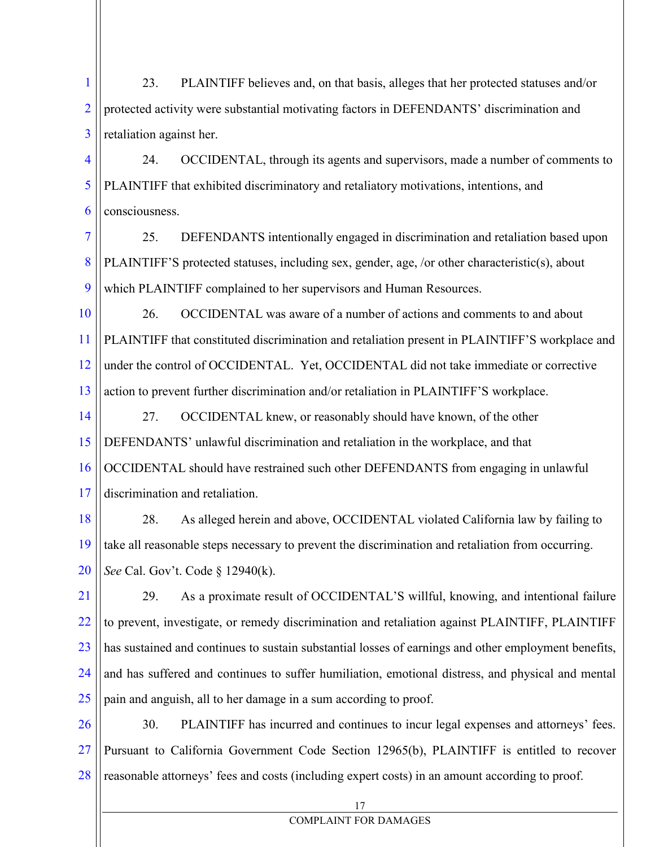1 2 3 23. PLAINTIFF believes and, on that basis, alleges that her protected statuses and/or protected activity were substantial motivating factors in DEFENDANTS' discrimination and retaliation against her.

4 5 6 24. OCCIDENTAL, through its agents and supervisors, made a number of comments to PLAINTIFF that exhibited discriminatory and retaliatory motivations, intentions, and consciousness.

7 8 9 25. DEFENDANTS intentionally engaged in discrimination and retaliation based upon PLAINTIFF'S protected statuses, including sex, gender, age, /or other characteristic(s), about which PLAINTIFF complained to her supervisors and Human Resources.

10 11 12 13 26. OCCIDENTAL was aware of a number of actions and comments to and about PLAINTIFF that constituted discrimination and retaliation present in PLAINTIFF'S workplace and under the control of OCCIDENTAL. Yet, OCCIDENTAL did not take immediate or corrective action to prevent further discrimination and/or retaliation in PLAINTIFF'S workplace.

14 15 16 17 27. OCCIDENTAL knew, or reasonably should have known, of the other DEFENDANTS' unlawful discrimination and retaliation in the workplace, and that OCCIDENTAL should have restrained such other DEFENDANTS from engaging in unlawful discrimination and retaliation.

18 19 20 28. As alleged herein and above, OCCIDENTAL violated California law by failing to take all reasonable steps necessary to prevent the discrimination and retaliation from occurring. *See* Cal. Gov't. Code § 12940(k).

21 22 23 24 25 29. As a proximate result of OCCIDENTAL'S willful, knowing, and intentional failure to prevent, investigate, or remedy discrimination and retaliation against PLAINTIFF, PLAINTIFF has sustained and continues to sustain substantial losses of earnings and other employment benefits, and has suffered and continues to suffer humiliation, emotional distress, and physical and mental pain and anguish, all to her damage in a sum according to proof.

26 27 28 30. PLAINTIFF has incurred and continues to incur legal expenses and attorneys' fees. Pursuant to California Government Code Section 12965(b), PLAINTIFF is entitled to recover reasonable attorneys' fees and costs (including expert costs) in an amount according to proof.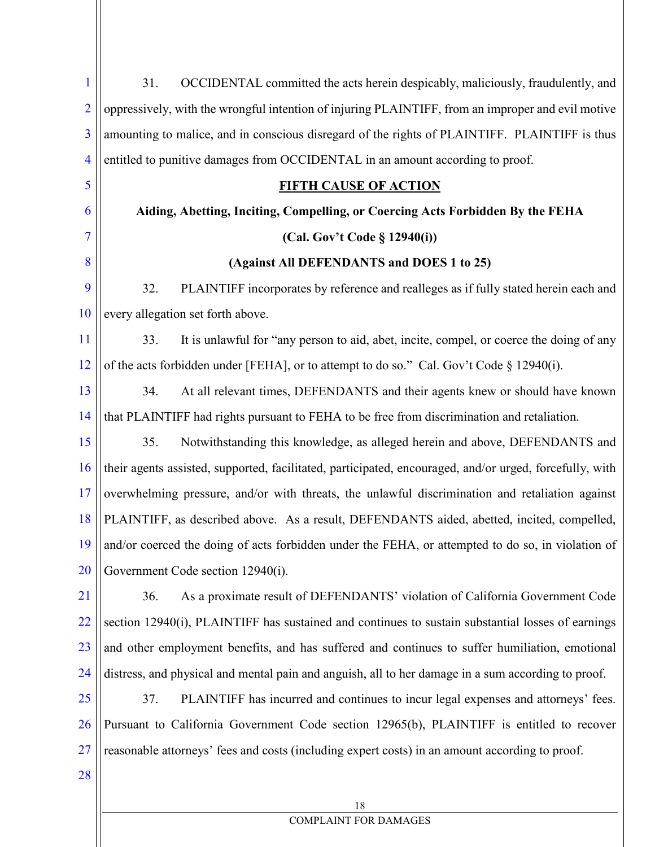| 1              | OCCIDENTAL committed the acts herein despicably, maliciously, fraudulently, and<br>31.                            |
|----------------|-------------------------------------------------------------------------------------------------------------------|
| $\overline{2}$ | oppressively, with the wrongful intention of injuring PLAINTIFF, from an improper and evil motive                 |
| $\overline{3}$ | amounting to malice, and in conscious disregard of the rights of PLAINTIFF. PLAINTIFF is thus                     |
| $\overline{4}$ | entitled to punitive damages from OCCIDENTAL in an amount according to proof.                                     |
| 5              | <b>FIFTH CAUSE OF ACTION</b>                                                                                      |
| 6              | Aiding, Abetting, Inciting, Compelling, or Coercing Acts Forbidden By the FEHA                                    |
| $\overline{7}$ | (Cal. Gov't Code § 12940(i))                                                                                      |
| 8              | (Against All DEFENDANTS and DOES 1 to 25)                                                                         |
| 9              | 32.<br>PLAINTIFF incorporates by reference and realleges as if fully stated herein each and                       |
| 10             | every allegation set forth above.                                                                                 |
| 11             | It is unlawful for "any person to aid, abet, incite, compel, or coerce the doing of any<br>33.                    |
| 12             | of the acts forbidden under [FEHA], or to attempt to do so." Cal. Gov't Code § 12940(i).                          |
| 13             | At all relevant times, DEFENDANTS and their agents knew or should have known<br>34.                               |
| 14             | that PLAINTIFF had rights pursuant to FEHA to be free from discrimination and retaliation.                        |
| 15             | Notwithstanding this knowledge, as alleged herein and above, DEFENDANTS and<br>35.                                |
| 16             | their agents assisted, supported, facilitated, participated, encouraged, and/or urged, forcefully, with           |
| 17             | overwhelming pressure, and/or with threats, the unlawful discrimination and retaliation against                   |
| 18             | PLAINTIFF, as described above. As a result, DEFENDANTS aided, abetted, incited, compelled,                        |
|                | $\frac{19}{19}$ and/or coerced the doing of acts forbidden under the FEHA, or attempted to do so, in violation of |
| 20             | Government Code section 12940(i).                                                                                 |
| 21             | As a proximate result of DEFENDANTS' violation of California Government Code<br>36.                               |
| 22             | section 12940(i), PLAINTIFF has sustained and continues to sustain substantial losses of earnings                 |
| 23             | and other employment benefits, and has suffered and continues to suffer humiliation, emotional                    |
| 24             | distress, and physical and mental pain and anguish, all to her damage in a sum according to proof.                |
| 25             | 37.<br>PLAINTIFF has incurred and continues to incur legal expenses and attorneys' fees.                          |
| 26             | Pursuant to California Government Code section 12965(b), PLAINTIFF is entitled to recover                         |
| 27             | reasonable attorneys' fees and costs (including expert costs) in an amount according to proof.                    |
| 28             |                                                                                                                   |
|                |                                                                                                                   |

# 18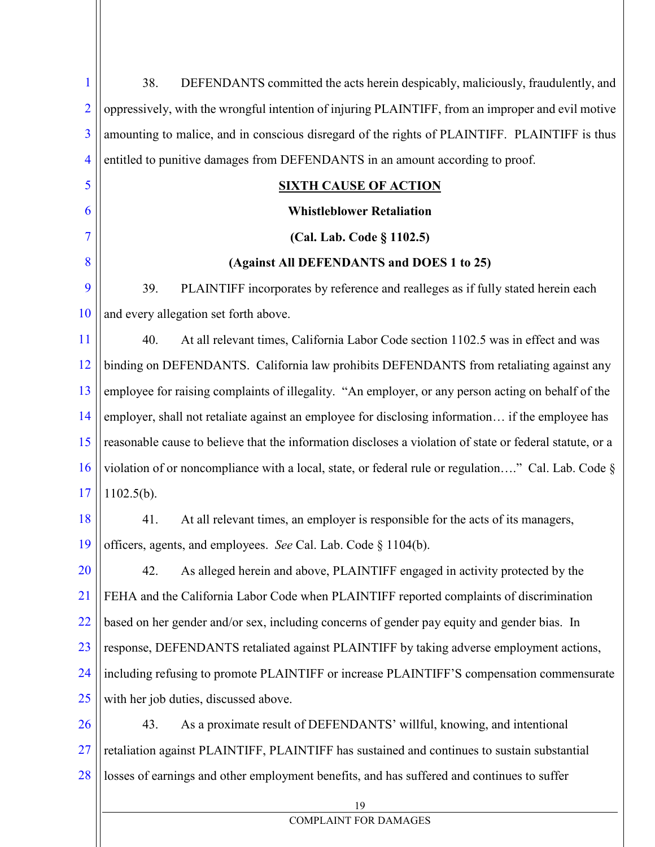| 1              | 38.<br>DEFENDANTS committed the acts herein despicably, maliciously, fraudulently, and                   |
|----------------|----------------------------------------------------------------------------------------------------------|
| $\overline{2}$ | oppressively, with the wrongful intention of injuring PLAINTIFF, from an improper and evil motive        |
| $\overline{3}$ | amounting to malice, and in conscious disregard of the rights of PLAINTIFF. PLAINTIFF is thus            |
| $\overline{4}$ | entitled to punitive damages from DEFENDANTS in an amount according to proof.                            |
| 5              | <b>SIXTH CAUSE OF ACTION</b>                                                                             |
| 6              | <b>Whistleblower Retaliation</b>                                                                         |
| 7              | (Cal. Lab. Code § 1102.5)                                                                                |
| 8              | (Against All DEFENDANTS and DOES 1 to 25)                                                                |
| 9              | 39.<br>PLAINTIFF incorporates by reference and realleges as if fully stated herein each                  |
| 10             | and every allegation set forth above.                                                                    |
| 11             | 40.<br>At all relevant times, California Labor Code section 1102.5 was in effect and was                 |
| 12             | binding on DEFENDANTS. California law prohibits DEFENDANTS from retaliating against any                  |
| 13             | employee for raising complaints of illegality. "An employer, or any person acting on behalf of the       |
| 14             | employer, shall not retaliate against an employee for disclosing information if the employee has         |
| 15             | reasonable cause to believe that the information discloses a violation of state or federal statute, or a |
| 16             | violation of or noncompliance with a local, state, or federal rule or regulation" Cal. Lab. Code §       |
| 17             | $1102.5(b)$ .                                                                                            |
| 18             | 41.<br>At all relevant times, an employer is responsible for the acts of its managers,                   |
| 19             | officers, agents, and employees. See Cal. Lab. Code § 1104(b).                                           |
| 20             | As alleged herein and above, PLAINTIFF engaged in activity protected by the<br>42.                       |
| 21             | FEHA and the California Labor Code when PLAINTIFF reported complaints of discrimination                  |
| 22             | based on her gender and/or sex, including concerns of gender pay equity and gender bias. In              |
| 23             | response, DEFENDANTS retaliated against PLAINTIFF by taking adverse employment actions,                  |
| 24             | including refusing to promote PLAINTIFF or increase PLAINTIFF'S compensation commensurate                |
| 25             | with her job duties, discussed above.                                                                    |
| 26             | As a proximate result of DEFENDANTS' willful, knowing, and intentional<br>43.                            |
| 27             | retaliation against PLAINTIFF, PLAINTIFF has sustained and continues to sustain substantial              |
| 28             | losses of earnings and other employment benefits, and has suffered and continues to suffer               |
|                | 19                                                                                                       |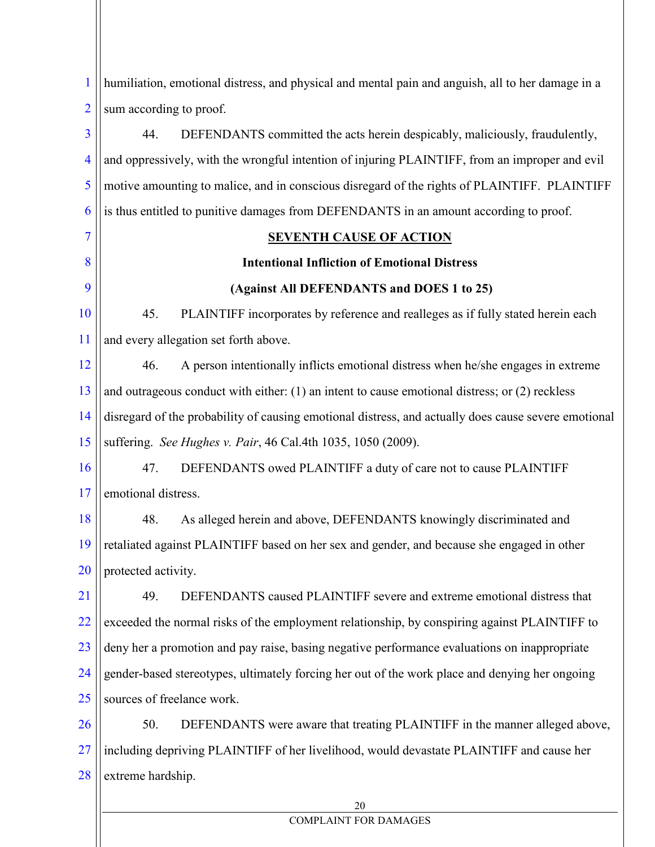1 2 humiliation, emotional distress, and physical and mental pain and anguish, all to her damage in a sum according to proof.

3 4 5 6 7 8 9 10 11 12 13 14 15 16 17 18 19 20 21 22 23 24 25 26 27 28 44. DEFENDANTS committed the acts herein despicably, maliciously, fraudulently, and oppressively, with the wrongful intention of injuring PLAINTIFF, from an improper and evil motive amounting to malice, and in conscious disregard of the rights of PLAINTIFF. PLAINTIFF is thus entitled to punitive damages from DEFENDANTS in an amount according to proof. **SEVENTH CAUSE OF ACTION Intentional Infliction of Emotional Distress (Against All DEFENDANTS and DOES 1 to 25)** 45. PLAINTIFF incorporates by reference and realleges as if fully stated herein each and every allegation set forth above. 46. A person intentionally inflicts emotional distress when he/she engages in extreme and outrageous conduct with either: (1) an intent to cause emotional distress; or (2) reckless disregard of the probability of causing emotional distress, and actually does cause severe emotional suffering. *See Hughes v. Pair*, 46 Cal.4th 1035, 1050 (2009). 47. DEFENDANTS owed PLAINTIFF a duty of care not to cause PLAINTIFF emotional distress. 48. As alleged herein and above, DEFENDANTS knowingly discriminated and retaliated against PLAINTIFF based on her sex and gender, and because she engaged in other protected activity. 49. DEFENDANTS caused PLAINTIFF severe and extreme emotional distress that exceeded the normal risks of the employment relationship, by conspiring against PLAINTIFF to deny her a promotion and pay raise, basing negative performance evaluations on inappropriate gender-based stereotypes, ultimately forcing her out of the work place and denying her ongoing sources of freelance work. 50. DEFENDANTS were aware that treating PLAINTIFF in the manner alleged above, including depriving PLAINTIFF of her livelihood, would devastate PLAINTIFF and cause her extreme hardship.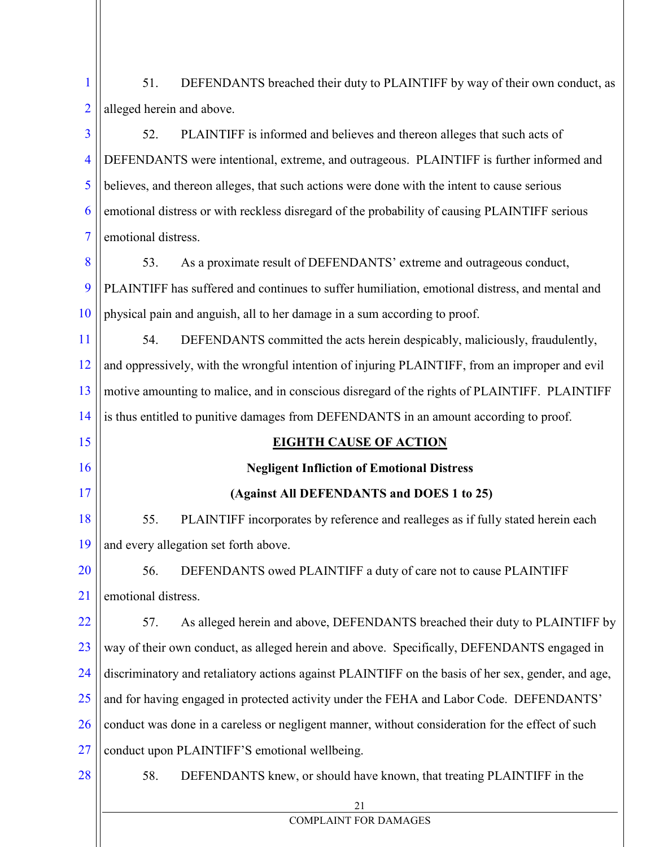| 1 |                                 | 51. DEFENDANTS breached their duty to PLAINTIFF by way of their own conduct, as |
|---|---------------------------------|---------------------------------------------------------------------------------|
|   | $2$   alleged herein and above. |                                                                                 |

3 4 5 6 7 52. PLAINTIFF is informed and believes and thereon alleges that such acts of DEFENDANTS were intentional, extreme, and outrageous. PLAINTIFF is further informed and believes, and thereon alleges, that such actions were done with the intent to cause serious emotional distress or with reckless disregard of the probability of causing PLAINTIFF serious emotional distress.

8 9 10 53. As a proximate result of DEFENDANTS' extreme and outrageous conduct, PLAINTIFF has suffered and continues to suffer humiliation, emotional distress, and mental and physical pain and anguish, all to her damage in a sum according to proof.

11 12 13 14 54. DEFENDANTS committed the acts herein despicably, maliciously, fraudulently, and oppressively, with the wrongful intention of injuring PLAINTIFF, from an improper and evil motive amounting to malice, and in conscious disregard of the rights of PLAINTIFF. PLAINTIFF is thus entitled to punitive damages from DEFENDANTS in an amount according to proof.

### **EIGHTH CAUSE OF ACTION**

# **Negligent Infliction of Emotional Distress**

## **(Against All DEFENDANTS and DOES 1 to 25)**

18 19 55. PLAINTIFF incorporates by reference and realleges as if fully stated herein each and every allegation set forth above.

20 21 56. DEFENDANTS owed PLAINTIFF a duty of care not to cause PLAINTIFF emotional distress.

22 23 24 25 26 27 57. As alleged herein and above, DEFENDANTS breached their duty to PLAINTIFF by way of their own conduct, as alleged herein and above. Specifically, DEFENDANTS engaged in discriminatory and retaliatory actions against PLAINTIFF on the basis of her sex, gender, and age, and for having engaged in protected activity under the FEHA and Labor Code. DEFENDANTS' conduct was done in a careless or negligent manner, without consideration for the effect of such conduct upon PLAINTIFF'S emotional wellbeing.

28

15

16

17

58. DEFENDANTS knew, or should have known, that treating PLAINTIFF in the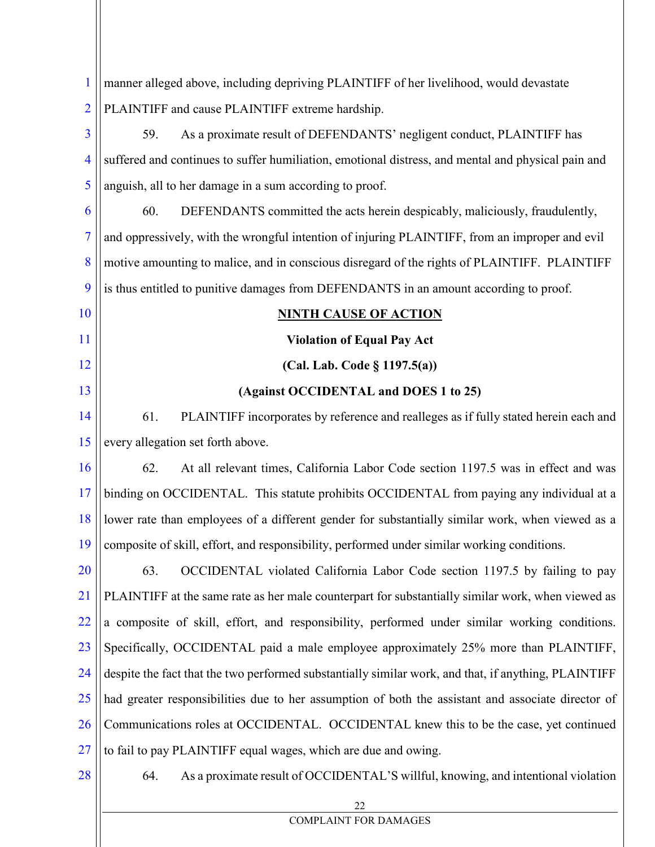| $\mathbf{1}$             | manner alleged above, including depriving PLAINTIFF of her livelihood, would devastate               |
|--------------------------|------------------------------------------------------------------------------------------------------|
| $\overline{2}$           | PLAINTIFF and cause PLAINTIFF extreme hardship.                                                      |
| 3                        | As a proximate result of DEFENDANTS' negligent conduct, PLAINTIFF has<br>59.                         |
| $\overline{\mathcal{A}}$ | suffered and continues to suffer humiliation, emotional distress, and mental and physical pain and   |
| 5                        | anguish, all to her damage in a sum according to proof.                                              |
| 6                        | 60.<br>DEFENDANTS committed the acts herein despicably, maliciously, fraudulently,                   |
| $\overline{7}$           | and oppressively, with the wrongful intention of injuring PLAINTIFF, from an improper and evil       |
| 8                        | motive amounting to malice, and in conscious disregard of the rights of PLAINTIFF. PLAINTIFF         |
| 9                        | is thus entitled to punitive damages from DEFENDANTS in an amount according to proof.                |
| 10                       | <b>NINTH CAUSE OF ACTION</b>                                                                         |
| 11                       | <b>Violation of Equal Pay Act</b>                                                                    |
| 12                       | (Cal. Lab. Code $\S$ 1197.5(a))                                                                      |
| 13                       | (Against OCCIDENTAL and DOES 1 to 25)                                                                |
| 14                       | 61.<br>PLAINTIFF incorporates by reference and realleges as if fully stated herein each and          |
| 15                       | every allegation set forth above.                                                                    |
| 16                       | 62.<br>At all relevant times, California Labor Code section 1197.5 was in effect and was             |
| 17                       | binding on OCCIDENTAL. This statute prohibits OCCIDENTAL from paying any individual at a             |
| 18                       | lower rate than employees of a different gender for substantially similar work, when viewed as a     |
| 19 <sup>°</sup>          | composite of skill, effort, and responsibility, performed under similar working conditions.          |
| 20                       | OCCIDENTAL violated California Labor Code section 1197.5 by failing to pay<br>63.                    |
| 21                       | PLAINTIFF at the same rate as her male counterpart for substantially similar work, when viewed as    |
| 22                       | a composite of skill, effort, and responsibility, performed under similar working conditions.        |
| 23                       | Specifically, OCCIDENTAL paid a male employee approximately 25% more than PLAINTIFF,                 |
| 24                       | despite the fact that the two performed substantially similar work, and that, if anything, PLAINTIFF |
| 25                       | had greater responsibilities due to her assumption of both the assistant and associate director of   |
| 26                       | Communications roles at OCCIDENTAL. OCCIDENTAL knew this to be the case, yet continued               |
| 27                       | to fail to pay PLAINTIFF equal wages, which are due and owing.                                       |
| 28                       | As a proximate result of OCCIDENTAL'S willful, knowing, and intentional violation<br>64.             |
|                          | 22                                                                                                   |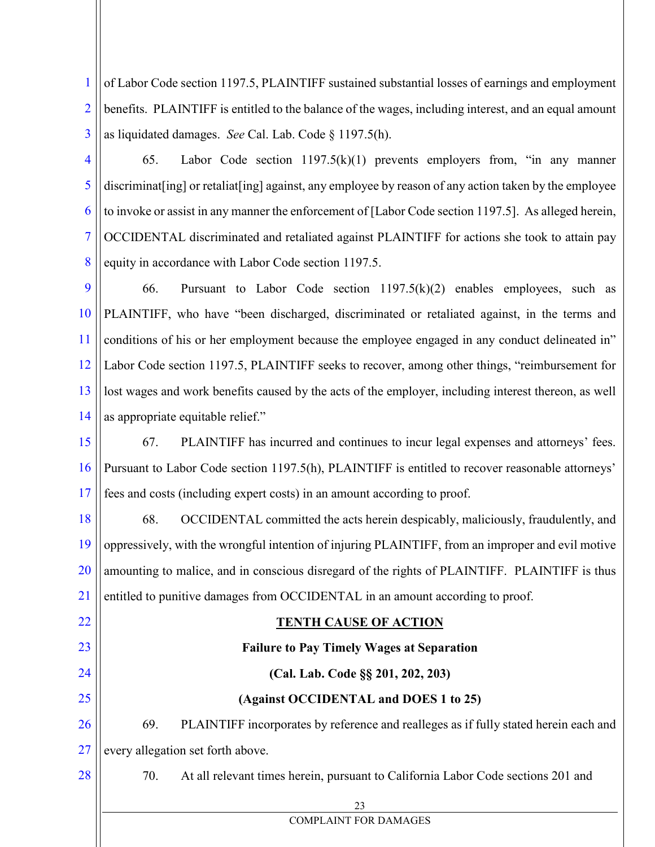1 2 3 of Labor Code section 1197.5, PLAINTIFF sustained substantial losses of earnings and employment benefits. PLAINTIFF is entitled to the balance of the wages, including interest, and an equal amount as liquidated damages. *See* Cal. Lab. Code § 1197.5(h).

4

5

6

7

8

22

65. Labor Code section  $1197.5(k)(1)$  prevents employers from, "in any manner discriminat [ing] or retaliat [ing] against, any employee by reason of any action taken by the employee to invoke or assist in any manner the enforcement of [Labor Code section 1197.5]. As alleged herein, OCCIDENTAL discriminated and retaliated against PLAINTIFF for actions she took to attain pay equity in accordance with Labor Code section 1197.5.

9 10 11 12 13 14 66. Pursuant to Labor Code section  $1197.5(k)(2)$  enables employees, such as PLAINTIFF, who have "been discharged, discriminated or retaliated against, in the terms and conditions of his or her employment because the employee engaged in any conduct delineated in" Labor Code section 1197.5, PLAINTIFF seeks to recover, among other things, "reimbursement for lost wages and work benefits caused by the acts of the employer, including interest thereon, as well as appropriate equitable relief."

15 16 17 67. PLAINTIFF has incurred and continues to incur legal expenses and attorneys' fees. Pursuant to Labor Code section 1197.5(h), PLAINTIFF is entitled to recover reasonable attorneys' fees and costs (including expert costs) in an amount according to proof.

18 19 20 21 68. OCCIDENTAL committed the acts herein despicably, maliciously, fraudulently, and oppressively, with the wrongful intention of injuring PLAINTIFF, from an improper and evil motive amounting to malice, and in conscious disregard of the rights of PLAINTIFF. PLAINTIFF is thus entitled to punitive damages from OCCIDENTAL in an amount according to proof.

## **TENTH CAUSE OF ACTION**

| 23 |     | <b>Failure to Pay Timely Wages at Separation</b>                                     |
|----|-----|--------------------------------------------------------------------------------------|
| 24 |     | (Cal. Lab. Code §§ 201, 202, 203)                                                    |
| 25 |     | (Against OCCIDENTAL and DOES 1 to 25)                                                |
| 26 | 69. | PLAINTIFF incorporates by reference and realleges as if fully stated herein each and |
| 27 |     | every allegation set forth above.                                                    |
| 28 | 70. | At all relevant times herein, pursuant to California Labor Code sections 201 and     |
|    |     | 23                                                                                   |
|    |     | <b>COMPLAINT FOR DAMAGES</b>                                                         |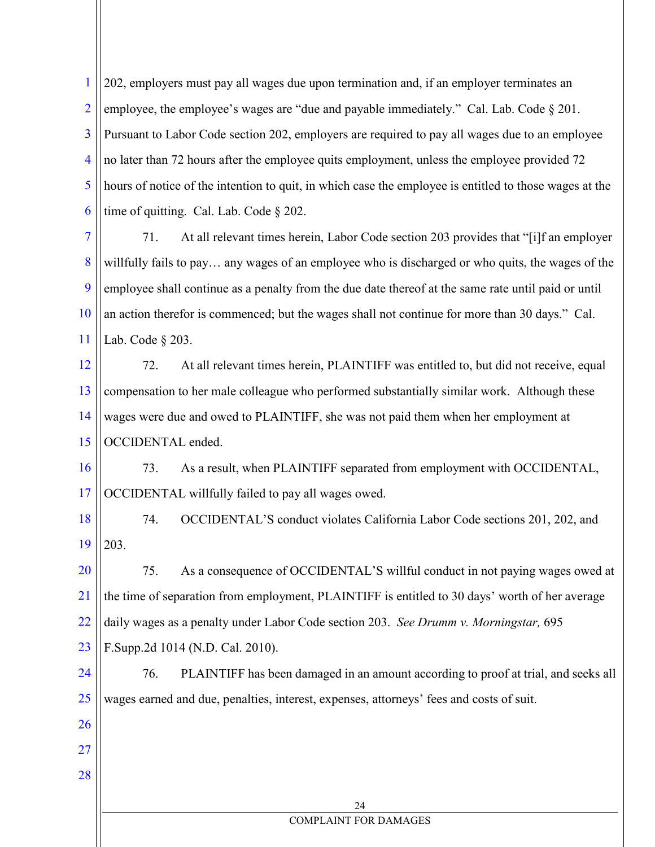1 2 3 4 5 6 202, employers must pay all wages due upon termination and, if an employer terminates an employee, the employee's wages are "due and payable immediately." Cal. Lab. Code § 201. Pursuant to Labor Code section 202, employers are required to pay all wages due to an employee no later than 72 hours after the employee quits employment, unless the employee provided 72 hours of notice of the intention to quit, in which case the employee is entitled to those wages at the time of quitting. Cal. Lab. Code § 202.

7 8 9 10 11 71. At all relevant times herein, Labor Code section 203 provides that "[i]f an employer willfully fails to pay… any wages of an employee who is discharged or who quits, the wages of the employee shall continue as a penalty from the due date thereof at the same rate until paid or until an action therefor is commenced; but the wages shall not continue for more than 30 days." Cal. Lab. Code § 203.

12 13 14 15 72. At all relevant times herein, PLAINTIFF was entitled to, but did not receive, equal compensation to her male colleague who performed substantially similar work. Although these wages were due and owed to PLAINTIFF, she was not paid them when her employment at OCCIDENTAL ended.

16 17 73. As a result, when PLAINTIFF separated from employment with OCCIDENTAL, OCCIDENTAL willfully failed to pay all wages owed.

18 19 74. OCCIDENTAL'S conduct violates California Labor Code sections 201, 202, and 203.

20 21 22 23 75. As a consequence of OCCIDENTAL'S willful conduct in not paying wages owed at the time of separation from employment, PLAINTIFF is entitled to 30 days' worth of her average daily wages as a penalty under Labor Code section 203. *See Drumm v. Morningstar,* 695 F.Supp.2d 1014 (N.D. Cal. 2010).

24 25 76. PLAINTIFF has been damaged in an amount according to proof at trial, and seeks all wages earned and due, penalties, interest, expenses, attorneys' fees and costs of suit.

26

27

28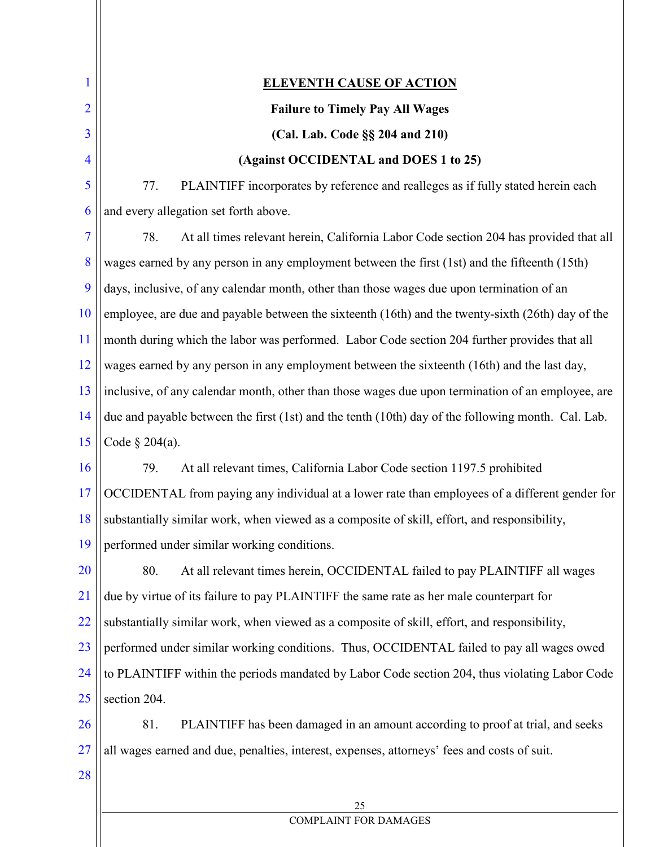1 2 3 4 5 6 7 8 9 10 11 12 13 14 15 16 17 18 19 20 21 22 23 24 25 26 27 28 **ELEVENTH CAUSE OF ACTION Failure to Timely Pay All Wages (Cal. Lab. Code §§ 204 and 210) (Against OCCIDENTAL and DOES 1 to 25)** 77. PLAINTIFF incorporates by reference and realleges as if fully stated herein each and every allegation set forth above. 78. At all times relevant herein, California Labor Code section 204 has provided that all wages earned by any person in any employment between the first (1st) and the fifteenth (15th) days, inclusive, of any calendar month, other than those wages due upon termination of an employee, are due and payable between the sixteenth (16th) and the twenty-sixth (26th) day of the month during which the labor was performed. Labor Code section 204 further provides that all wages earned by any person in any employment between the sixteenth (16th) and the last day, inclusive, of any calendar month, other than those wages due upon termination of an employee, are due and payable between the first (1st) and the tenth (10th) day of the following month. Cal. Lab. Code § 204(a). 79. At all relevant times, California Labor Code section 1197.5 prohibited OCCIDENTAL from paying any individual at a lower rate than employees of a different gender for substantially similar work, when viewed as a composite of skill, effort, and responsibility, performed under similar working conditions. 80. At all relevant times herein, OCCIDENTAL failed to pay PLAINTIFF all wages due by virtue of its failure to pay PLAINTIFF the same rate as her male counterpart for substantially similar work, when viewed as a composite of skill, effort, and responsibility, performed under similar working conditions. Thus, OCCIDENTAL failed to pay all wages owed to PLAINTIFF within the periods mandated by Labor Code section 204, thus violating Labor Code section 204. 81. PLAINTIFF has been damaged in an amount according to proof at trial, and seeks all wages earned and due, penalties, interest, expenses, attorneys' fees and costs of suit.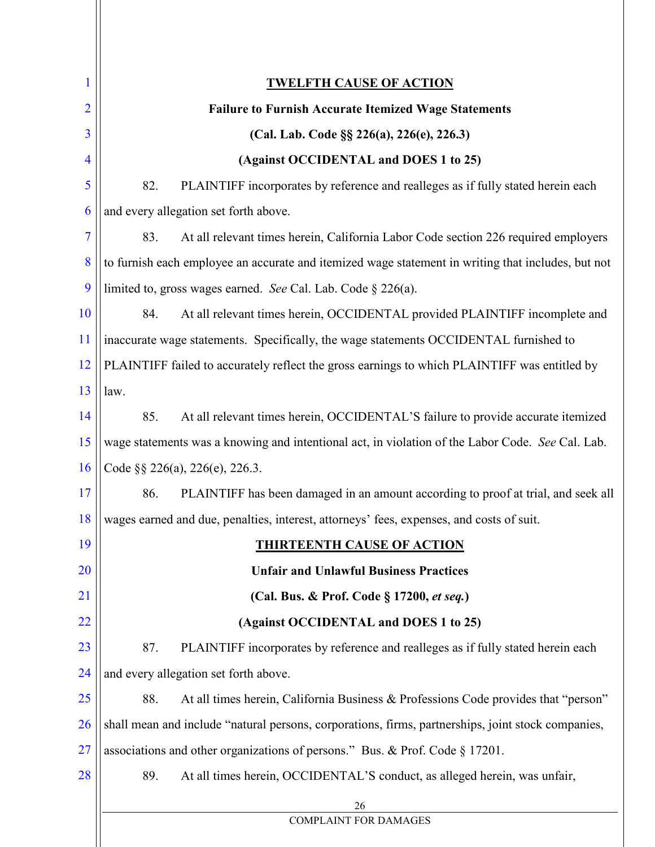| 1              | <u>TWELFTH CAUSE OF ACTION</u>                                                                     |
|----------------|----------------------------------------------------------------------------------------------------|
| $\overline{2}$ | <b>Failure to Furnish Accurate Itemized Wage Statements</b>                                        |
| 3              | (Cal. Lab. Code §§ 226(a), 226(e), 226.3)                                                          |
| $\overline{4}$ | (Against OCCIDENTAL and DOES 1 to 25)                                                              |
| 5              | 82.<br>PLAINTIFF incorporates by reference and realleges as if fully stated herein each            |
| 6              | and every allegation set forth above.                                                              |
| 7              | 83.<br>At all relevant times herein, California Labor Code section 226 required employers          |
| 8              | to furnish each employee an accurate and itemized wage statement in writing that includes, but not |
| 9              | limited to, gross wages earned. See Cal. Lab. Code § 226(a).                                       |
| 10             | 84.<br>At all relevant times herein, OCCIDENTAL provided PLAINTIFF incomplete and                  |
| 11             | inaccurate wage statements. Specifically, the wage statements OCCIDENTAL furnished to              |
| 12             | PLAINTIFF failed to accurately reflect the gross earnings to which PLAINTIFF was entitled by       |
| 13             | law.                                                                                               |
| 14             | At all relevant times herein, OCCIDENTAL'S failure to provide accurate itemized<br>85.             |
| 15             | wage statements was a knowing and intentional act, in violation of the Labor Code. See Cal. Lab.   |
| 16             | Code §§ 226(a), 226(e), 226.3.                                                                     |
| 17             | 86.<br>PLAINTIFF has been damaged in an amount according to proof at trial, and seek all           |
| 18             | wages earned and due, penalties, interest, attorneys' fees, expenses, and costs of suit.           |
| 19             | <b>THIRTEENTH CAUSE OF ACTION</b>                                                                  |
| 20             | <b>Unfair and Unlawful Business Practices</b>                                                      |
| 21             | (Cal. Bus. & Prof. Code § 17200, et seq.)                                                          |
| 22             | (Against OCCIDENTAL and DOES 1 to 25)                                                              |
| 23             | 87.<br>PLAINTIFF incorporates by reference and realleges as if fully stated herein each            |
| 24             | and every allegation set forth above.                                                              |
| 25             | 88.<br>At all times herein, California Business & Professions Code provides that "person"          |
| 26             | shall mean and include "natural persons, corporations, firms, partnerships, joint stock companies, |
| 27             | associations and other organizations of persons." Bus. & Prof. Code § 17201.                       |
| 28             | 89.<br>At all times herein, OCCIDENTAL'S conduct, as alleged herein, was unfair,                   |
|                | 26                                                                                                 |
|                | <b>COMPLAINT FOR DAMAGES</b>                                                                       |
|                |                                                                                                    |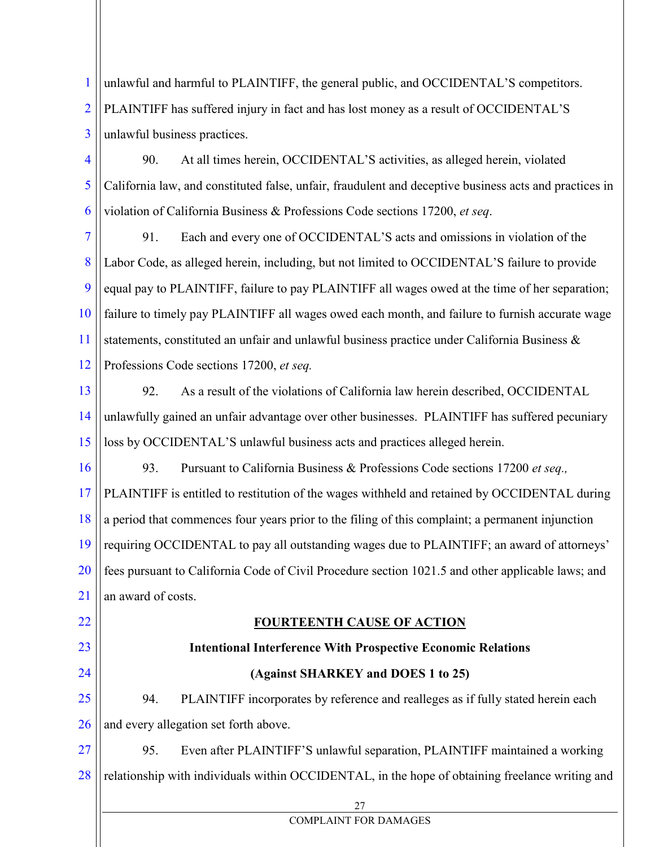1 2 3 unlawful and harmful to PLAINTIFF, the general public, and OCCIDENTAL'S competitors. PLAINTIFF has suffered injury in fact and has lost money as a result of OCCIDENTAL'S unlawful business practices.

4 5 6 90. At all times herein, OCCIDENTAL'S activities, as alleged herein, violated California law, and constituted false, unfair, fraudulent and deceptive business acts and practices in violation of California Business & Professions Code sections 17200, *et seq*.

7 8 9 10 11 12 91. Each and every one of OCCIDENTAL'S acts and omissions in violation of the Labor Code, as alleged herein, including, but not limited to OCCIDENTAL'S failure to provide equal pay to PLAINTIFF, failure to pay PLAINTIFF all wages owed at the time of her separation; failure to timely pay PLAINTIFF all wages owed each month, and failure to furnish accurate wage statements, constituted an unfair and unlawful business practice under California Business & Professions Code sections 17200, *et seq.*

13

14 15 92. As a result of the violations of California law herein described, OCCIDENTAL unlawfully gained an unfair advantage over other businesses. PLAINTIFF has suffered pecuniary loss by OCCIDENTAL'S unlawful business acts and practices alleged herein.

16 17 18 19 20 21 93. Pursuant to California Business & Professions Code sections 17200 *et seq.,* PLAINTIFF is entitled to restitution of the wages withheld and retained by OCCIDENTAL during a period that commences four years prior to the filing of this complaint; a permanent injunction requiring OCCIDENTAL to pay all outstanding wages due to PLAINTIFF; an award of attorneys' fees pursuant to California Code of Civil Procedure section 1021.5 and other applicable laws; and an award of costs.

## 22

23

24

## **FOURTEENTH CAUSE OF ACTION**

**Intentional Interference With Prospective Economic Relations**

## **(Against SHARKEY and DOES 1 to 25)**

25 26 94. PLAINTIFF incorporates by reference and realleges as if fully stated herein each and every allegation set forth above.

27 28 95. Even after PLAINTIFF'S unlawful separation, PLAINTIFF maintained a working relationship with individuals within OCCIDENTAL, in the hope of obtaining freelance writing and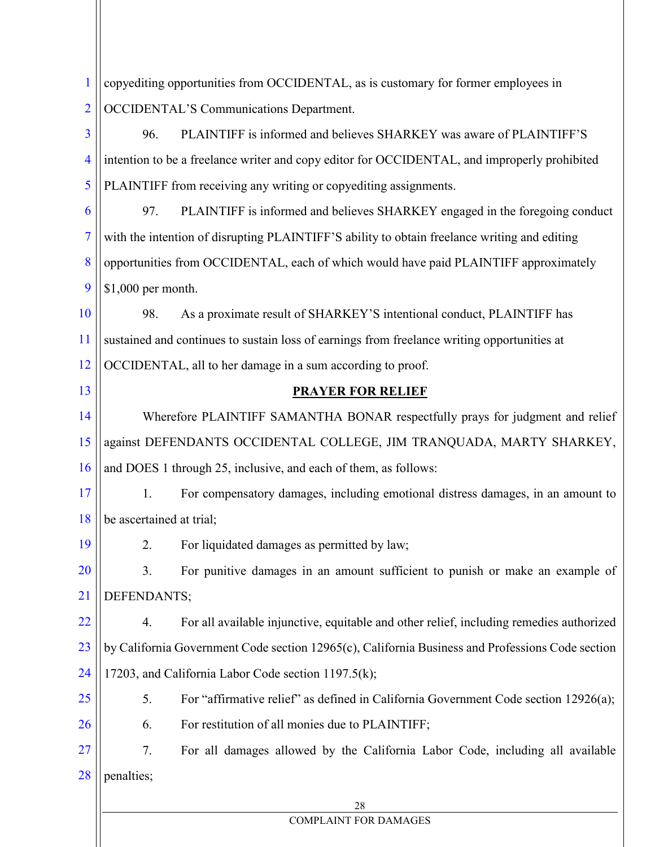| 1              | copyediting opportunities from OCCIDENTAL, as is customary for former employees in               |  |  |
|----------------|--------------------------------------------------------------------------------------------------|--|--|
| $\overline{2}$ | <b>OCCIDENTAL'S Communications Department.</b>                                                   |  |  |
| $\overline{3}$ | PLAINTIFF is informed and believes SHARKEY was aware of PLAINTIFF'S<br>96.                       |  |  |
| $\overline{4}$ | intention to be a freelance writer and copy editor for OCCIDENTAL, and improperly prohibited     |  |  |
| 5              | PLAINTIFF from receiving any writing or copyediting assignments.                                 |  |  |
| 6              | PLAINTIFF is informed and believes SHARKEY engaged in the foregoing conduct<br>97.               |  |  |
| 7              | with the intention of disrupting PLAINTIFF'S ability to obtain freelance writing and editing     |  |  |
| 8              | opportunities from OCCIDENTAL, each of which would have paid PLAINTIFF approximately             |  |  |
| 9              | \$1,000 per month.                                                                               |  |  |
| 10             | As a proximate result of SHARKEY'S intentional conduct, PLAINTIFF has<br>98.                     |  |  |
| 11             | sustained and continues to sustain loss of earnings from freelance writing opportunities at      |  |  |
| 12             | OCCIDENTAL, all to her damage in a sum according to proof.                                       |  |  |
| 13             | <b>PRAYER FOR RELIEF</b>                                                                         |  |  |
| 14             | Wherefore PLAINTIFF SAMANTHA BONAR respectfully prays for judgment and relief                    |  |  |
| 15             | against DEFENDANTS OCCIDENTAL COLLEGE, JIM TRANQUADA, MARTY SHARKEY,                             |  |  |
| 16             | and DOES 1 through 25, inclusive, and each of them, as follows:                                  |  |  |
| 17             | 1.<br>For compensatory damages, including emotional distress damages, in an amount to            |  |  |
| 18             | be ascertained at trial;                                                                         |  |  |
| 19             | For liquidated damages as permitted by law;<br>2.                                                |  |  |
| <b>20</b>      | 3.<br>For punitive damages in an amount sufficient to punish or make an example of               |  |  |
| 21             | DEFENDANTS;                                                                                      |  |  |
| <u>22</u>      | For all available injunctive, equitable and other relief, including remedies authorized<br>4.    |  |  |
| 23             | by California Government Code section 12965(c), California Business and Professions Code section |  |  |
| 24             | 17203, and California Labor Code section 1197.5(k);                                              |  |  |
| 25             | 5.<br>For "affirmative relief" as defined in California Government Code section 12926(a);        |  |  |
| 26             | For restitution of all monies due to PLAINTIFF;<br>6.                                            |  |  |
| <b>27</b>      | 7.<br>For all damages allowed by the California Labor Code, including all available              |  |  |
| 28             | penalties;                                                                                       |  |  |
|                | 28                                                                                               |  |  |
|                | <b>COMPLAINT FOR DAMAGES</b>                                                                     |  |  |